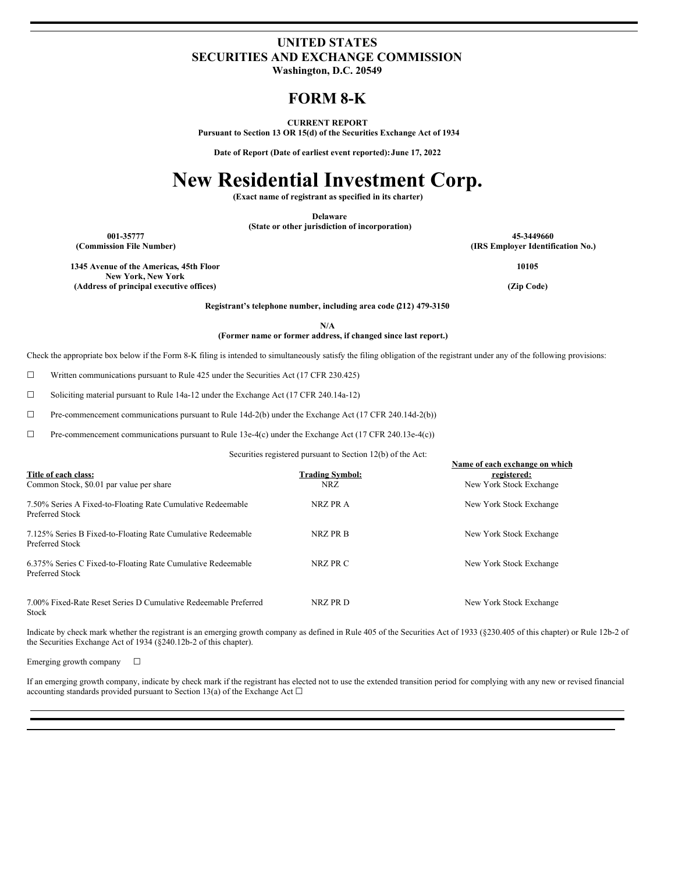### **UNITED STATES SECURITIES AND EXCHANGE COMMISSION**

**Washington, D.C. 20549**

## **FORM 8-K**

**CURRENT REPORT**

**Pursuant to Section 13 OR 15(d) of the Securities Exchange Act of 1934**

**Date of Report (Date of earliest event reported):June 17, 2022**

# **New Residential Investment Corp.**

**(Exact name of registrant as specified in its charter)**

**Delaware**

**(State or other jurisdiction of incorporation)**

**1345 Avenue of the Americas, 45th Floor New York, New York (Address of principal executive offices) (Zip Code)**

**001-35777 45-3449660 (Commission File Number) (IRS Employer Identification No.)**

**10105**

**Registrant's telephone number, including area code (212) 479-3150**

**N/A**

**(Former name or former address, if changed since last report.)**

Check the appropriate box below if the Form 8-K filing is intended to simultaneously satisfy the filing obligation of the registrant under any of the following provisions:

☐ Written communications pursuant to Rule 425 under the Securities Act (17 CFR 230.425)

☐ Soliciting material pursuant to Rule 14a-12 under the Exchange Act (17 CFR 240.14a-12)

☐ Pre-commencement communications pursuant to Rule 14d-2(b) under the Exchange Act (17 CFR 240.14d-2(b))

☐ Pre-commencement communications pursuant to Rule 13e-4(c) under the Exchange Act (17 CFR 240.13e-4(c))

Securities registered pursuant to Section 12(b) of the Act:

|                                                                                 |                        | Name of each exchange on which |
|---------------------------------------------------------------------------------|------------------------|--------------------------------|
| Title of each class:                                                            | <b>Trading Symbol:</b> | registered:                    |
| Common Stock, \$0.01 par value per share                                        | NRZ.                   | New York Stock Exchange        |
| 7.50% Series A Fixed-to-Floating Rate Cumulative Redeemable<br>Preferred Stock  | NRZ PR A               | New York Stock Exchange        |
| 7.125% Series B Fixed-to-Floating Rate Cumulative Redeemable<br>Preferred Stock | NRZ PR B               | New York Stock Exchange        |
| 6.375% Series C Fixed-to-Floating Rate Cumulative Redeemable<br>Preferred Stock | NRZ PR C               | New York Stock Exchange        |
| 7.00% Fixed-Rate Reset Series D Cumulative Redeemable Preferred<br>Stock        | NRZ PR D               | New York Stock Exchange        |

Indicate by check mark whether the registrant is an emerging growth company as defined in Rule 405 of the Securities Act of 1933 (§230.405 of this chapter) or Rule 12b-2 of the Securities Exchange Act of 1934 (§240.12b-2 of this chapter).

Emerging growth company  $\Box$ 

If an emerging growth company, indicate by check mark if the registrant has elected not to use the extended transition period for complying with any new or revised financial accounting standards provided pursuant to Section 13(a) of the Exchange Act  $\Box$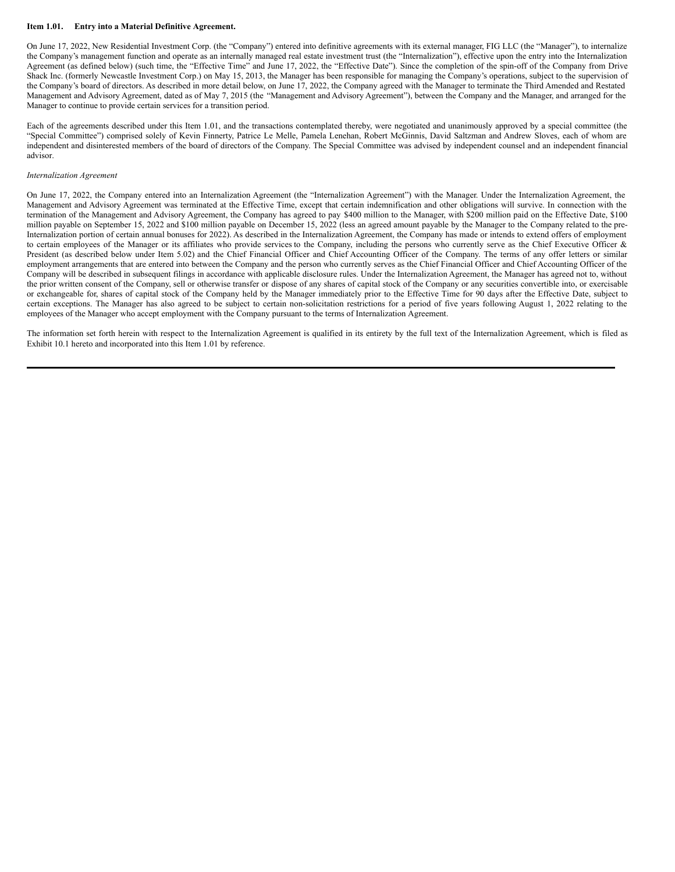#### **Item 1.01. Entry into a Material Definitive Agreement.**

On June 17, 2022, New Residential Investment Corp. (the "Company") entered into definitive agreements with its external manager, FIG LLC (the "Manager"), to internalize the Company's management function and operate as an internally managed real estate investment trust (the "Internalization"), effective upon the entry into the Internalization Agreement (as defined below) (such time, the "Effective Time" and June 17, 2022, the "Effective Date"). Since the completion of the spin-off of the Company from Drive Shack Inc. (formerly Newcastle Investment Corp.) on May 15, 2013, the Manager has been responsible for managing the Company's operations, subject to the supervision of the Company's board of directors. As described in more detail below, on June 17, 2022, the Company agreed with the Manager to terminate the Third Amended and Restated Management and Advisory Agreement, dated as of May 7, 2015 (the "Management and Advisory Agreement"), between the Company and the Manager, and arranged for the Manager to continue to provide certain services for a transition period.

Each of the agreements described under this Item 1.01, and the transactions contemplated thereby, were negotiated and unanimously approved by a special committee (the "Special Committee") comprised solely of Kevin Finnerty, Patrice Le Melle, Pamela Lenehan, Robert McGinnis, David Saltzman and Andrew Sloves, each of whom are independent and disinterested members of the board of directors of the Company. The Special Committee was advised by independent counsel and an independent financial advisor.

#### *Internalization Agreement*

On June 17, 2022, the Company entered into an Internalization Agreement (the "Internalization Agreement") with the Manager. Under the Internalization Agreement, the Management and Advisory Agreement was terminated at the Effective Time, except that certain indemnification and other obligations will survive. In connection with the termination of the Management and Advisory Agreement, the Company has agreed to pay \$400 million to the Manager, with \$200 million paid on the Effective Date, \$100 million payable on September 15, 2022 and \$100 million payable on December 15, 2022 (less an agreed amount payable by the Manager to the Company related to the pre-Internalization portion of certain annual bonuses for 2022). As described in the Internalization Agreement, the Company has made or intends to extend offers of employment to certain employees of the Manager or its affiliates who provide services to the Company, including the persons who currently serve as the Chief Executive Officer & President (as described below under Item 5.02) and the Chief Financial Officer and Chief Accounting Officer of the Company. The terms of any offer letters or similar employment arrangements that are entered into between the Company and the person who currently serves as the Chief Financial Officer and Chief Accounting Officer of the Company will be described in subsequent filings in accordance with applicable disclosure rules. Under the Internalization Agreement, the Manager has agreed not to, without the prior written consent of the Company, sell or otherwise transfer or dispose of any shares of capital stock of the Company or any securities convertible into, or exercisable or exchangeable for, shares of capital stock of the Company held by the Manager immediately prior to the Effective Time for 90 days after the Effective Date, subject to certain exceptions. The Manager has also agreed to be subject to certain non-solicitation restrictions for a period of five years following August 1, 2022 relating to the employees of the Manager who accept employment with the Company pursuant to the terms of Internalization Agreement.

The information set forth herein with respect to the Internalization Agreement is qualified in its entirety by the full text of the Internalization Agreement, which is filed as Exhibit 10.1 hereto and incorporated into this Item 1.01 by reference.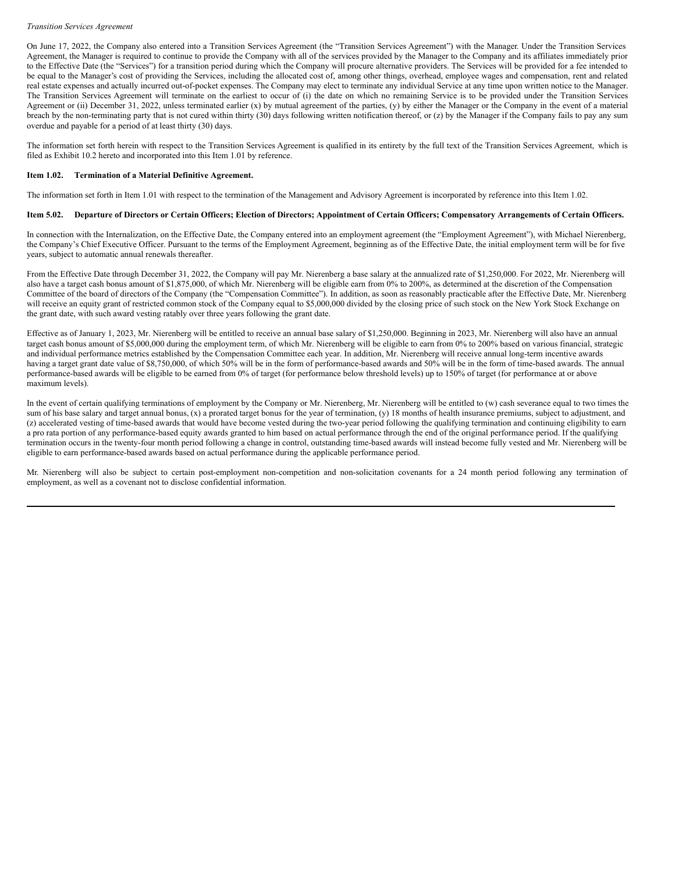#### *Transition Services Agreement*

On June 17, 2022, the Company also entered into a Transition Services Agreement (the "Transition Services Agreement") with the Manager. Under the Transition Services Agreement, the Manager is required to continue to provide the Company with all of the services provided by the Manager to the Company and its affiliates immediately prior to the Effective Date (the "Services") for a transition period during which the Company will procure alternative providers. The Services will be provided for a fee intended to be equal to the Manager's cost of providing the Services, including the allocated cost of, among other things, overhead, employee wages and compensation, rent and related real estate expenses and actually incurred out-of-pocket expenses. The Company may elect to terminate any individual Service at any time upon written notice to the Manager. The Transition Services Agreement will terminate on the earliest to occur of (i) the date on which no remaining Service is to be provided under the Transition Services Agreement or (ii) December 31, 2022, unless terminated earlier (x) by mutual agreement of the parties, (y) by either the Manager or the Company in the event of a material breach by the non-terminating party that is not cured within thirty (30) days following written notification thereof, or (z) by the Manager if the Company fails to pay any sum overdue and payable for a period of at least thirty (30) days.

The information set forth herein with respect to the Transition Services Agreement is qualified in its entirety by the full text of the Transition Services Agreement, which is filed as Exhibit 10.2 hereto and incorporated into this Item 1.01 by reference.

#### **Item 1.02. Termination of a Material Definitive Agreement.**

The information set forth in Item 1.01 with respect to the termination of the Management and Advisory Agreement is incorporated by reference into this Item 1.02.

#### Item 5.02. Departure of Directors or Certain Officers; Election of Directors; Appointment of Certain Officers; Compensatory Arrangements of Certain Officers.

In connection with the Internalization, on the Effective Date, the Company entered into an employment agreement (the "Employment Agreement"), with Michael Nierenberg, the Company's Chief Executive Officer. Pursuant to the terms of the Employment Agreement, beginning as of the Effective Date, the initial employment term will be for five years, subject to automatic annual renewals thereafter.

From the Effective Date through December 31, 2022, the Company will pay Mr. Nierenberg a base salary at the annualized rate of \$1,250,000. For 2022, Mr. Nierenberg will also have a target cash bonus amount of \$1,875,000, of which Mr. Nierenberg will be eligible earn from 0% to 200%, as determined at the discretion of the Compensation Committee of the board of directors of the Company (the "Compensation Committee"). In addition, as soon as reasonably practicable after the Effective Date, Mr. Nierenberg will receive an equity grant of restricted common stock of the Company equal to \$5,000,000 divided by the closing price of such stock on the New York Stock Exchange on the grant date, with such award vesting ratably over three years following the grant date.

Effective as of January 1, 2023, Mr. Nierenberg will be entitled to receive an annual base salary of \$1,250,000. Beginning in 2023, Mr. Nierenberg will also have an annual target cash bonus amount of \$5,000,000 during the employment term, of which Mr. Nierenberg will be eligible to earn from 0% to 200% based on various financial, strategic and individual performance metrics established by the Compensation Committee each year. In addition, Mr. Nierenberg will receive annual long-term incentive awards having a target grant date value of \$8,750,000, of which 50% will be in the form of performance-based awards and 50% will be in the form of time-based awards. The annual performance-based awards will be eligible to be earned from 0% of target (for performance below threshold levels) up to 150% of target (for performance at or above maximum levels).

In the event of certain qualifying terminations of employment by the Company or Mr. Nierenberg, Mr. Nierenberg will be entitled to (w) cash severance equal to two times the sum of his base salary and target annual bonus, (x) a prorated target bonus for the year of termination, (y) 18 months of health insurance premiums, subject to adjustment, and (z) accelerated vesting of time-based awards that would have become vested during the two-year period following the qualifying termination and continuing eligibility to earn a pro rata portion of any performance-based equity awards granted to him based on actual performance through the end of the original performance period. If the qualifying termination occurs in the twenty-four month period following a change in control, outstanding time-based awards will instead become fully vested and Mr. Nierenberg will be eligible to earn performance-based awards based on actual performance during the applicable performance period.

Mr. Nierenberg will also be subject to certain post-employment non-competition and non-solicitation covenants for a 24 month period following any termination of employment, as well as a covenant not to disclose confidential information.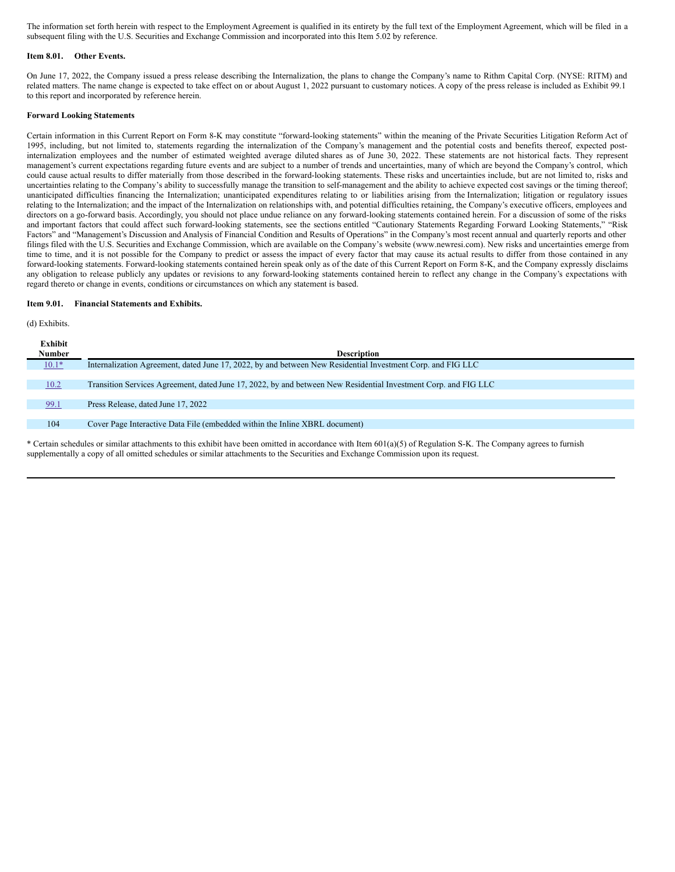The information set forth herein with respect to the Employment Agreement is qualified in its entirety by the full text of the Employment Agreement, which will be filed in a subsequent filing with the U.S. Securities and Exchange Commission and incorporated into this Item 5.02 by reference.

#### **Item 8.01. Other Events.**

On June 17, 2022, the Company issued a press release describing the Internalization, the plans to change the Company's name to Rithm Capital Corp. (NYSE: RITM) and related matters. The name change is expected to take effect on or about August 1, 2022 pursuant to customary notices. A copy of the press release is included as Exhibit 99.1 to this report and incorporated by reference herein.

#### **Forward Looking Statements**

Certain information in this Current Report on Form 8-K may constitute "forward-looking statements" within the meaning of the Private Securities Litigation Reform Act of 1995, including, but not limited to, statements regarding the internalization of the Company's management and the potential costs and benefits thereof, expected postinternalization employees and the number of estimated weighted average diluted shares as of June 30, 2022. These statements are not historical facts. They represent management's current expectations regarding future events and are subject to a number of trends and uncertainties, many of which are beyond the Company's control, which could cause actual results to differ materially from those described in the forward-looking statements. These risks and uncertainties include, but are not limited to, risks and uncertainties relating to the Company's ability to successfully manage the transition to self-management and the ability to achieve expected cost savings or the timing thereof; unanticipated difficulties financing the Internalization; unanticipated expenditures relating to or liabilities arising from the Internalization; litigation or regulatory issues relating to the Internalization; and the impact of the Internalization on relationships with, and potential difficulties retaining, the Company's executive officers, employees and directors on a go-forward basis. Accordingly, you should not place undue reliance on any forward-looking statements contained herein. For a discussion of some of the risks and important factors that could affect such forward-looking statements, see the sections entitled "Cautionary Statements Regarding Forward Looking Statements," "Risk Factors" and "Management's Discussion and Analysis of Financial Condition and Results of Operations" in the Company's most recent annual and quarterly reports and other filings filed with the U.S. Securities and Exchange Commission, which are available on the Company's website (www.newresi.com). New risks and uncertainties emerge from time to time, and it is not possible for the Company to predict or assess the impact of every factor that may cause its actual results to differ from those contained in any forward-looking statements. Forward-looking statements contained herein speak only as of the date of this Current Report on Form 8-K, and the Company expressly disclaims any obligation to release publicly any updates or revisions to any forward-looking statements contained herein to reflect any change in the Company's expectations with regard thereto or change in events, conditions or circumstances on which any statement is based.

#### **Item 9.01. Financial Statements and Exhibits.**

(d) Exhibits.

| Exhibit       |                                                                                                                 |
|---------------|-----------------------------------------------------------------------------------------------------------------|
| <b>Number</b> | <b>Description</b>                                                                                              |
| $10.1*$       | Internalization Agreement, dated June 17, 2022, by and between New Residential Investment Corp. and FIG LLC     |
|               |                                                                                                                 |
| 10.2          | Transition Services Agreement, dated June 17, 2022, by and between New Residential Investment Corp. and FIG LLC |
|               |                                                                                                                 |
| 99.1          | Press Release, dated June 17, 2022                                                                              |
|               |                                                                                                                 |
| 104           | Cover Page Interactive Data File (embedded within the Inline XBRL document)                                     |
|               |                                                                                                                 |

\* Certain schedules or similar attachments to this exhibit have been omitted in accordance with Item 601(a)(5) of Regulation S-K. The Company agrees to furnish supplementally a copy of all omitted schedules or similar attachments to the Securities and Exchange Commission upon its request.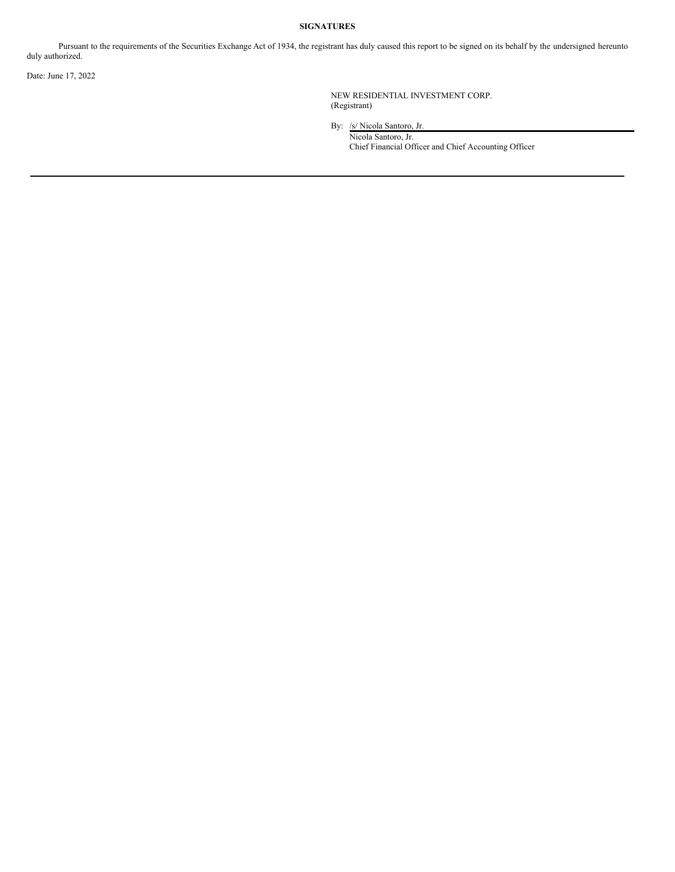#### **SIGNATURES**

Pursuant to the requirements of the Securities Exchange Act of 1934, the registrant has duly caused this report to be signed on its behalf by the undersigned hereunto duly authorized.

Date: June 17, 2022

NEW RESIDENTIAL INVESTMENT CORP. (Registrant)

By: /s/ Nicola Santoro, Jr. Nicola Santoro, Jr. Chief Financial Officer and Chief Accounting Officer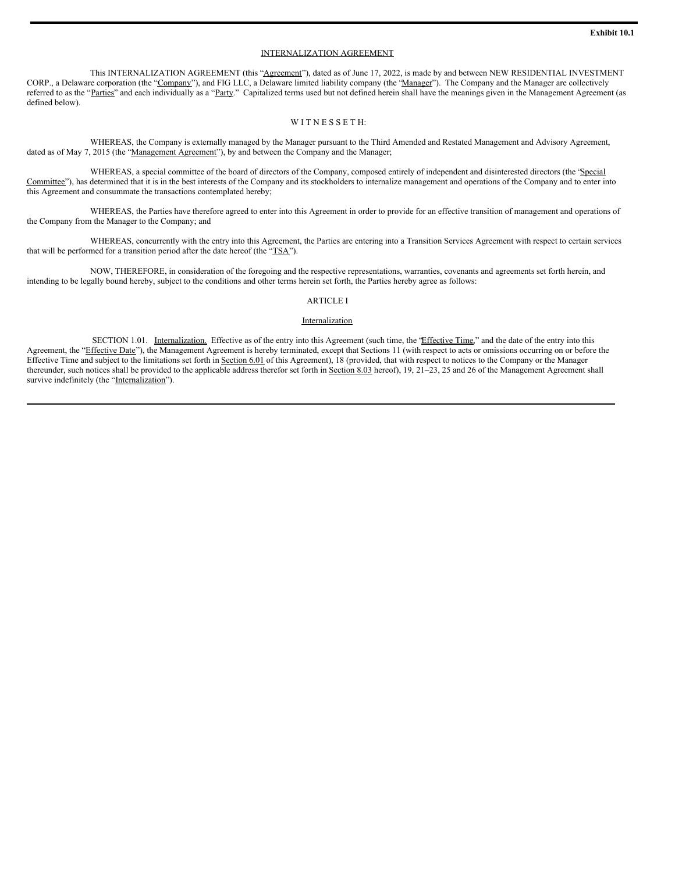#### INTERNALIZATION AGREEMENT

This INTERNALIZATION AGREEMENT (this "Agreement"), dated as of June 17, 2022, is made by and between NEW RESIDENTIAL INVESTMENT CORP., a Delaware corporation (the "Company"), and FIG LLC, a Delaware limited liability company (the "Manager"). The Company and the Manager are collectively referred to as the "Parties" and each individually as a "Party." Capitalized terms used but not defined herein shall have the meanings given in the Management Agreement (as defined below).

#### WITNESSETH:

WHEREAS, the Company is externally managed by the Manager pursuant to the Third Amended and Restated Management and Advisory Agreement, dated as of May 7, 2015 (the "Management Agreement"), by and between the Company and the Manager;

WHEREAS, a special committee of the board of directors of the Company, composed entirely of independent and disinterested directors (the 'Special Committee"), has determined that it is in the best interests of the Company and its stockholders to internalize management and operations of the Company and to enter into this Agreement and consummate the transactions contemplated hereby;

WHEREAS, the Parties have therefore agreed to enter into this Agreement in order to provide for an effective transition of management and operations of the Company from the Manager to the Company; and

WHEREAS, concurrently with the entry into this Agreement, the Parties are entering into a Transition Services Agreement with respect to certain services that will be performed for a transition period after the date hereof (the "TSA").

NOW, THEREFORE, in consideration of the foregoing and the respective representations, warranties, covenants and agreements set forth herein, and intending to be legally bound hereby, subject to the conditions and other terms herein set forth, the Parties hereby agree as follows:

#### ARTICLE I

#### Internalization

SECTION 1.01. Internalization. Effective as of the entry into this Agreement (such time, the "Effective Time," and the date of the entry into this Agreement, the "Effective Date"), the Management Agreement is hereby terminated, except that Sections 11 (with respect to acts or omissions occurring on or before the Effective Time and subject to the limitations set forth in Section 6.01 of this Agreement), 18 (provided, that with respect to notices to the Company or the Manager thereunder, such notices shall be provided to the applicable address therefor set forth in Section 8.03 hereof), 19, 21-23, 25 and 26 of the Management Agreement shall survive indefinitely (the "Internalization").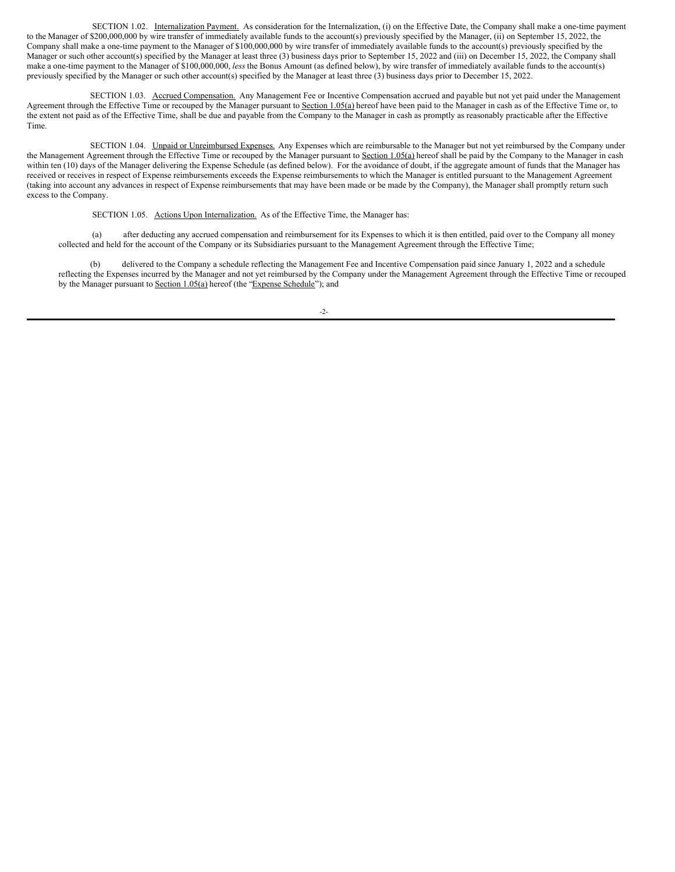SECTION 1.02. Internalization Payment. As consideration for the Internalization, (i) on the Effective Date, the Company shall make a one-time payment to the Manager of \$200,000,000 by wire transfer of immediately available funds to the account(s) previously specified by the Manager, (ii) on September 15, 2022, the Company shall make a one-time payment to the Manager of \$100,000,000 by wire transfer of immediately available funds to the account(s) previously specified by the Manager or such other account(s) specified by the Manager at least three (3) business days prior to September 15, 2022 and (iii) on December 15, 2022, the Company shall make a one-time payment to the Manager of \$100,000,000, *less* the Bonus Amount (as defined below), by wire transfer of immediately available funds to the account(s) previously specified by the Manager or such other account(s) specified by the Manager at least three (3) business days prior to December 15, 2022.

SECTION 1.03. Accrued Compensation. Any Management Fee or Incentive Compensation accrued and payable but not yet paid under the Management Agreement through the Effective Time or recouped by the Manager pursuant to Section 1.05(a) hereof have been paid to the Manager in cash as of the Effective Time or, to the extent not paid as of the Effective Time, shall be due and payable from the Company to the Manager in cash as promptly as reasonably practicable after the Effective Time.

SECTION 1.04. Unpaid or Unreimbursed Expenses. Any Expenses which are reimbursable to the Manager but not yet reimbursed by the Company under the Management Agreement through the Effective Time or recouped by the Manager pursuant to Section 1.05(a) hereof shall be paid by the Company to the Manager in cash within ten (10) days of the Manager delivering the Expense Schedule (as defined below). For the avoidance of doubt, if the aggregate amount of funds that the Manager has received or receives in respect of Expense reimbursements exceeds the Expense reimbursements to which the Manager is entitled pursuant to the Management Agreement (taking into account any advances in respect of Expense reimbursements that may have been made or be made by the Company), the Manager shall promptly return such excess to the Company.

SECTION 1.05. Actions Upon Internalization. As of the Effective Time, the Manager has:

(a) after deducting any accrued compensation and reimbursement for its Expenses to which it is then entitled, paid over to the Company all money collected and held for the account of the Company or its Subsidiaries pursuant to the Management Agreement through the Effective Time;

(b) delivered to the Company a schedule reflecting the Management Fee and Incentive Compensation paid since January 1, 2022 and a schedule reflecting the Expenses incurred by the Manager and not yet reimbursed by the Company under the Management Agreement through the Effective Time or recouped by the Manager pursuant to Section 1.05(a) hereof (the "Expense Schedule"); and

-2-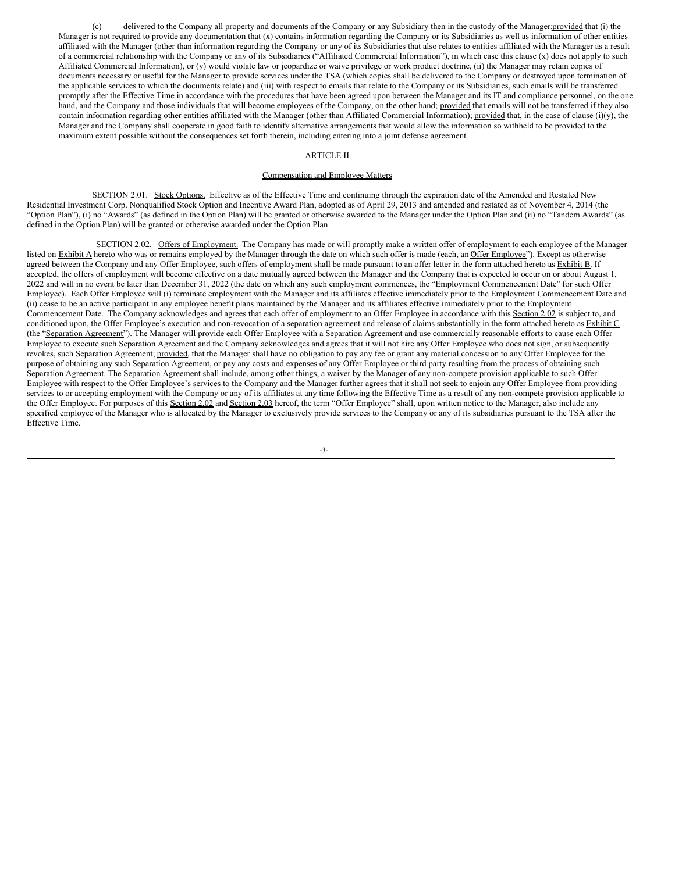(c) delivered to the Company all property and documents of the Company or any Subsidiary then in the custody of the Manager;provided that (i) the Manager is not required to provide any documentation that (x) contains information regarding the Company or its Subsidiaries as well as information of other entities affiliated with the Manager (other than information regarding the Company or any of its Subsidiaries that also relates to entities affiliated with the Manager as a result of a commercial relationship with the Company or any of its Subsidiaries ("Affiliated Commercial Information"), in which case this clause (x) does not apply to such Affiliated Commercial Information), or (y) would violate law or jeopardize or waive privilege or work product doctrine, (ii) the Manager may retain copies of documents necessary or useful for the Manager to provide services under the TSA (which copies shall be delivered to the Company or destroyed upon termination of the applicable services to which the documents relate) and (iii) with respect to emails that relate to the Company or its Subsidiaries, such emails will be transferred promptly after the Effective Time in accordance with the procedures that have been agreed upon between the Manager and its IT and compliance personnel, on the one hand, and the Company and those individuals that will become employees of the Company, on the other hand; provided that emails will not be transferred if they also contain information regarding other entities affiliated with the Manager (other than Affiliated Commercial Information); provided that, in the case of clause (i)(y), the Manager and the Company shall cooperate in good faith to identify alternative arrangements that would allow the information so withheld to be provided to the maximum extent possible without the consequences set forth therein, including entering into a joint defense agreement.

#### ARTICLE II

#### Compensation and Employee Matters

SECTION 2.01. Stock Options. Effective as of the Effective Time and continuing through the expiration date of the Amended and Restated New Residential Investment Corp. Nonqualified Stock Option and Incentive Award Plan, adopted as of April 29, 2013 and amended and restated as of November 4, 2014 (the "Option Plan"), (i) no "Awards" (as defined in the Option Plan) will be granted or otherwise awarded to the Manager under the Option Plan and (ii) no "Tandem Awards" (as defined in the Option Plan) will be granted or otherwise awarded under the Option Plan.

SECTION 2.02. Offers of Employment. The Company has made or will promptly make a written offer of employment to each employee of the Manager listed on  $Exhibit A$  hereto who was or remains employed by the Manager through the date on which such offer is made (each, an Offer Employee"). Except as otherwise agreed between the Company and any Offer Employee, such offers of employment shall be made pursuant to an offer letter in the form attached hereto as Exhibit B. If accepted, the offers of employment will become effective on a date mutually agreed between the Manager and the Company that is expected to occur on or about August 1, 2022 and will in no event be later than December 31, 2022 (the date on which any such employment commences, the "Employment Commencement Date" for such Offer Employee). Each Offer Employee will (i) terminate employment with the Manager and its affiliates effective immediately prior to the Employment Commencement Date and (ii) cease to be an active participant in any employee benefit plans maintained by the Manager and its affiliates effective immediately prior to the Employment Commencement Date. The Company acknowledges and agrees that each offer of employment to an Offer Employee in accordance with this Section 2.02 is subject to, and conditioned upon, the Offer Employee's execution and non-revocation of a separation agreement and release of claims substantially in the form attached hereto as  $Exhibit C$ (the "Separation Agreement"). The Manager will provide each Offer Employee with a Separation Agreement and use commercially reasonable efforts to cause each Offer Employee to execute such Separation Agreement and the Company acknowledges and agrees that it will not hire any Offer Employee who does not sign, or subsequently revokes, such Separation Agreement; provided, that the Manager shall have no obligation to pay any fee or grant any material concession to any Offer Employee for the purpose of obtaining any such Separation Agreement, or pay any costs and expenses of any Offer Employee or third party resulting from the process of obtaining such Separation Agreement. The Separation Agreement shall include, among other things, a waiver by the Manager of any non-compete provision applicable to such Offer Employee with respect to the Offer Employee's services to the Company and the Manager further agrees that it shall not seek to enjoin any Offer Employee from providing services to or accepting employment with the Company or any of its affiliates at any time following the Effective Time as a result of any non-compete provision applicable to the Offer Employee. For purposes of this Section 2.02 and Section 2.03 hereof, the term "Offer Employee" shall, upon written notice to the Manager, also include any specified employee of the Manager who is allocated by the Manager to exclusively provide services to the Company or any of its subsidiaries pursuant to the TSA after the Effective Time.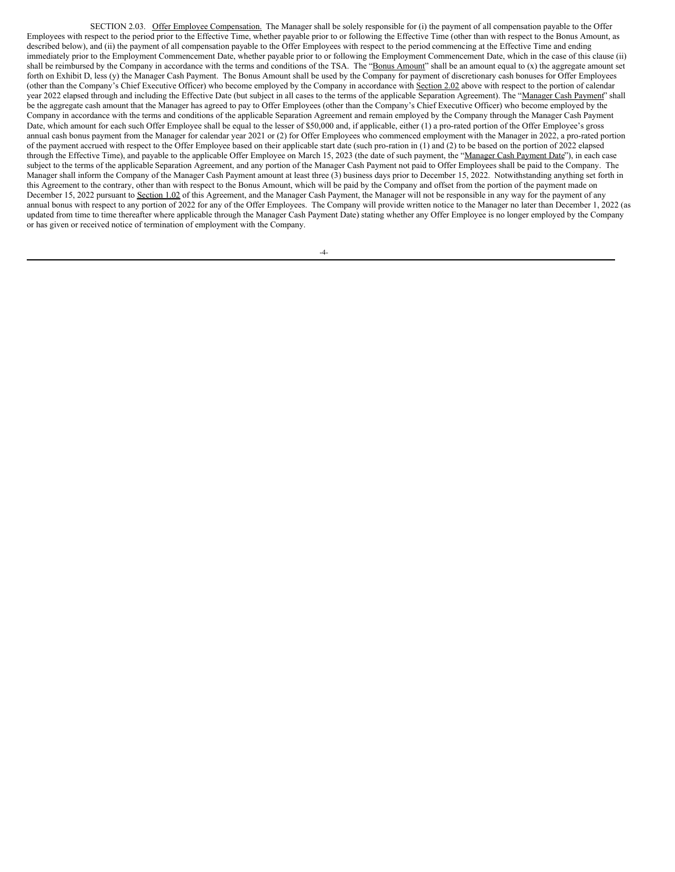SECTION 2.03. Offer Employee Compensation. The Manager shall be solely responsible for (i) the payment of all compensation payable to the Offer Employees with respect to the period prior to the Effective Time, whether payable prior to or following the Effective Time (other than with respect to the Bonus Amount, as described below), and (ii) the payment of all compensation payable to the Offer Employees with respect to the period commencing at the Effective Time and ending immediately prior to the Employment Commencement Date, whether payable prior to or following the Employment Commencement Date, which in the case of this clause (ii) shall be reimbursed by the Company in accordance with the terms and conditions of the TSA. The "Bonus Amount" shall be an amount equal to (x) the aggregate amount set forth on Exhibit D, less (y) the Manager Cash Payment. The Bonus Amount shall be used by the Company for payment of discretionary cash bonuses for Offer Employees (other than the Company's Chief Executive Officer) who become employed by the Company in accordance with Section 2.02 above with respect to the portion of calendar year 2022 elapsed through and including the Effective Date (but subject in all cases to the terms of the applicable Separation Agreement). The "Manager Cash Payment" shall be the aggregate cash amount that the Manager has agreed to pay to Offer Employees (other than the Company's Chief Executive Officer) who become employed by the Company in accordance with the terms and conditions of the applicable Separation Agreement and remain employed by the Company through the Manager Cash Payment Date, which amount for each such Offer Employee shall be equal to the lesser of \$50,000 and, if applicable, either (1) a pro-rated portion of the Offer Employee's gross annual cash bonus payment from the Manager for calendar year 2021 or (2) for Offer Employees who commenced employment with the Manager in 2022, a pro-rated portion of the payment accrued with respect to the Offer Employee based on their applicable start date (such pro-ration in (1) and (2) to be based on the portion of 2022 elapsed through the Effective Time), and payable to the applicable Offer Employee on March 15, 2023 (the date of such payment, the "Manager Cash Payment Date"), in each case subject to the terms of the applicable Separation Agreement, and any portion of the Manager Cash Payment not paid to Offer Employees shall be paid to the Company. The Manager shall inform the Company of the Manager Cash Payment amount at least three (3) business days prior to December 15, 2022. Notwithstanding anything set forth in this Agreement to the contrary, other than with respect to the Bonus Amount, which will be paid by the Company and offset from the portion of the payment made on December 15, 2022 pursuant to Section 1.02 of this Agreement, and the Manager Cash Payment, the Manager will not be responsible in any way for the payment of any annual bonus with respect to any portion of 2022 for any of the Offer Employees. The Company will provide written notice to the Manager no later than December 1, 2022 (as updated from time to time thereafter where applicable through the Manager Cash Payment Date) stating whether any Offer Employee is no longer employed by the Company or has given or received notice of termination of employment with the Company.

-4-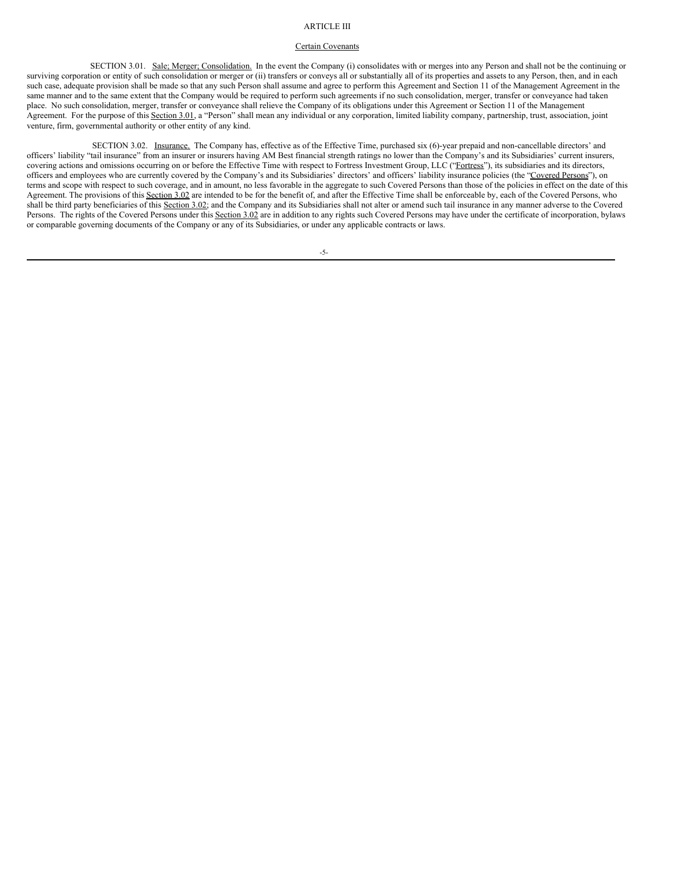#### ARTICLE III

#### Certain Covenants

SECTION 3.01. Sale; Merger; Consolidation. In the event the Company (i) consolidates with or merges into any Person and shall not be the continuing or surviving corporation or entity of such consolidation or merger or (ii) transfers or conveys all or substantially all of its properties and assets to any Person, then, and in each such case, adequate provision shall be made so that any such Person shall assume and agree to perform this Agreement and Section 11 of the Management Agreement in the same manner and to the same extent that the Company would be required to perform such agreements if no such consolidation, merger, transfer or conveyance had taken place. No such consolidation, merger, transfer or conveyance shall relieve the Company of its obligations under this Agreement or Section 11 of the Management Agreement. For the purpose of this Section 3.01, a "Person" shall mean any individual or any corporation, limited liability company, partnership, trust, association, joint venture, firm, governmental authority or other entity of any kind.

SECTION 3.02. Insurance. The Company has, effective as of the Effective Time, purchased six (6)-year prepaid and non-cancellable directors' and officers' liability "tail insurance" from an insurer or insurers having AM Best financial strength ratings no lower than the Company's and its Subsidiaries' current insurers, covering actions and omissions occurring on or before the Effective Time with respect to Fortress Investment Group, LLC ("Fortress"), its subsidiaries and its directors, officers and employees who are currently covered by the Company's and its Subsidiaries' directors' and officers' liability insurance policies (the "Covered Persons"), on terms and scope with respect to such coverage, and in amount, no less favorable in the aggregate to such Covered Persons than those of the policies in effect on the date of this Agreement. The provisions of this Section 3.02 are intended to be for the benefit of, and after the Effective Time shall be enforceable by, each of the Covered Persons, who shall be third party beneficiaries of this Section 3.02; and the Company and its Subsidiaries shall not alter or amend such tail insurance in any manner adverse to the Covered Persons. The rights of the Covered Persons under this Section 3.02 are in addition to any rights such Covered Persons may have under the certificate of incorporation, bylaws or comparable governing documents of the Company or any of its Subsidiaries, or under any applicable contracts or laws.

-5-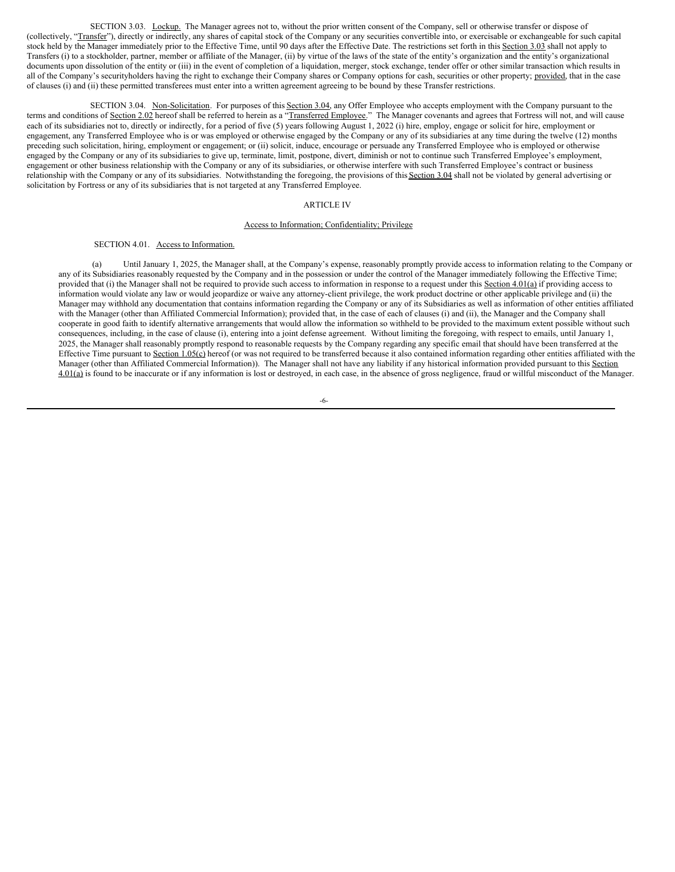SECTION 3.03. Lockup. The Manager agrees not to, without the prior written consent of the Company, sell or otherwise transfer or dispose of (collectively, "Transfer"), directly or indirectly, any shares of capital stock of the Company or any securities convertible into, or exercisable or exchangeable for such capital stock held by the Manager immediately prior to the Effective Time, until 90 days after the Effective Date. The restrictions set forth in this Section 3.03 shall not apply to Transfers (i) to a stockholder, partner, member or affiliate of the Manager, (ii) by virtue of the laws of the state of the entity's organization and the entity's organizational documents upon dissolution of the entity or (iii) in the event of completion of a liquidation, merger, stock exchange, tender offer or other similar transaction which results in all of the Company's securityholders having the right to exchange their Company shares or Company options for cash, securities or other property; provided, that in the case of clauses (i) and (ii) these permitted transferees must enter into a written agreement agreeing to be bound by these Transfer restrictions.

SECTION 3.04. Non-Solicitation. For purposes of this Section 3.04, any Offer Employee who accepts employment with the Company pursuant to the terms and conditions of Section 2.02 hereof shall be referred to herein as a "Transferred Employee." The Manager covenants and agrees that Fortress will not, and will cause each of its subsidiaries not to, directly or indirectly, for a period of five (5) years following August 1, 2022 (i) hire, employ, engage or solicit for hire, employment or engagement, any Transferred Employee who is or was employed or otherwise engaged by the Company or any of its subsidiaries at any time during the twelve (12) months preceding such solicitation, hiring, employment or engagement; or (ii) solicit, induce, encourage or persuade any Transferred Employee who is employed or otherwise engaged by the Company or any of its subsidiaries to give up, terminate, limit, postpone, divert, diminish or not to continue such Transferred Employee's employment, engagement or other business relationship with the Company or any of its subsidiaries, or otherwise interfere with such Transferred Employee's contract or business relationship with the Company or any of its subsidiaries. Notwithstanding the foregoing, the provisions of this Section 3.04 shall not be violated by general advertising or solicitation by Fortress or any of its subsidiaries that is not targeted at any Transferred Employee.

#### ARTICLE IV

#### Access to Information; Confidentiality; Privilege

#### SECTION 4.01. Access to Information.

(a) Until January 1, 2025, the Manager shall, at the Company's expense, reasonably promptly provide access to information relating to the Company or any of its Subsidiaries reasonably requested by the Company and in the possession or under the control of the Manager immediately following the Effective Time; provided that (i) the Manager shall not be required to provide such access to information in response to a request under this Section 4.01(a) if providing access to information would violate any law or would jeopardize or waive any attorney-client privilege, the work product doctrine or other applicable privilege and (ii) the Manager may withhold any documentation that contains information regarding the Company or any of its Subsidiaries as well as information of other entities affiliated with the Manager (other than Affiliated Commercial Information); provided that, in the case of each of clauses (i) and (ii), the Manager and the Company shall cooperate in good faith to identify alternative arrangements that would allow the information so withheld to be provided to the maximum extent possible without such consequences, including, in the case of clause (i), entering into a joint defense agreement. Without limiting the foregoing, with respect to emails, until January 1, 2025, the Manager shall reasonably promptly respond to reasonable requests by the Company regarding any specific email that should have been transferred at the Effective Time pursuant to Section  $1.05(c)$  hereof (or was not required to be transferred because it also contained information regarding other entities affiliated with the Manager (other than Affiliated Commercial Information)). The Manager shall not have any liability if any historical information provided pursuant to this Section 4.01(a) is found to be inaccurate or if any information is lost or destroyed, in each case, in the absence of gross negligence, fraud or willful misconduct of the Manager.

-6-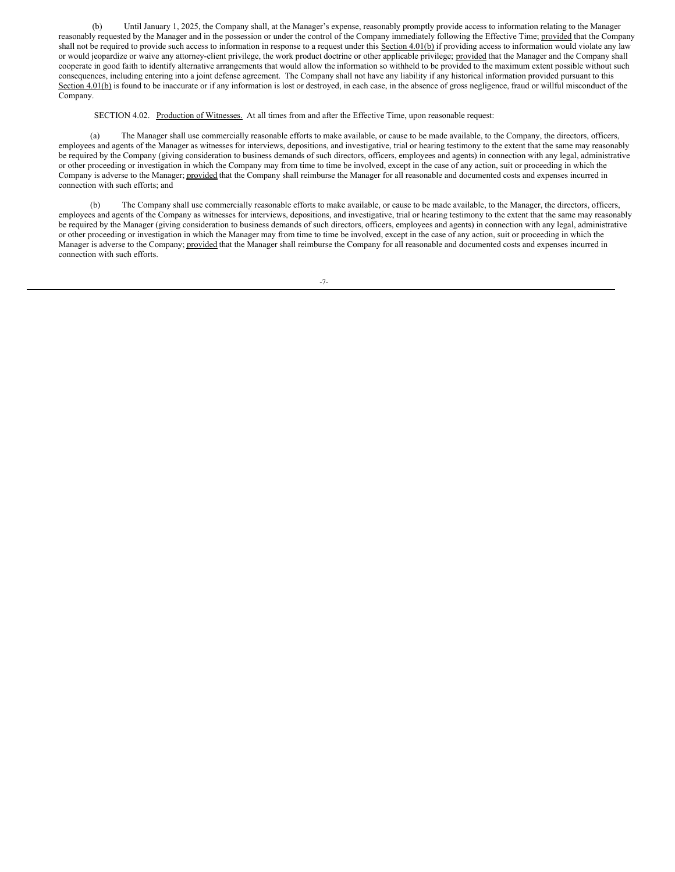(b) Until January 1, 2025, the Company shall, at the Manager's expense, reasonably promptly provide access to information relating to the Manager reasonably requested by the Manager and in the possession or under the control of the Company immediately following the Effective Time; provided that the Company shall not be required to provide such access to information in response to a request under this Section 4.01(b) if providing access to information would violate any law or would jeopardize or waive any attorney-client privilege, the work product doctrine or other applicable privilege; provided that the Manager and the Company shall cooperate in good faith to identify alternative arrangements that would allow the information so withheld to be provided to the maximum extent possible without such consequences, including entering into a joint defense agreement. The Company shall not have any liability if any historical information provided pursuant to this Section 4.01(b) is found to be inaccurate or if any information is lost or destroyed, in each case, in the absence of gross negligence, fraud or willful misconduct of the Company.

SECTION 4.02. Production of Witnesses. At all times from and after the Effective Time, upon reasonable request:

(a) The Manager shall use commercially reasonable efforts to make available, or cause to be made available, to the Company, the directors, officers, employees and agents of the Manager as witnesses for interviews, depositions, and investigative, trial or hearing testimony to the extent that the same may reasonably be required by the Company (giving consideration to business demands of such directors, officers, employees and agents) in connection with any legal, administrative or other proceeding or investigation in which the Company may from time to time be involved, except in the case of any action, suit or proceeding in which the Company is adverse to the Manager; provided that the Company shall reimburse the Manager for all reasonable and documented costs and expenses incurred in connection with such efforts; and

(b) The Company shall use commercially reasonable efforts to make available, or cause to be made available, to the Manager, the directors, officers, employees and agents of the Company as witnesses for interviews, depositions, and investigative, trial or hearing testimony to the extent that the same may reasonably be required by the Manager (giving consideration to business demands of such directors, officers, employees and agents) in connection with any legal, administrative or other proceeding or investigation in which the Manager may from time to time be involved, except in the case of any action, suit or proceeding in which the Manager is adverse to the Company; provided that the Manager shall reimburse the Company for all reasonable and documented costs and expenses incurred in connection with such efforts.

-7-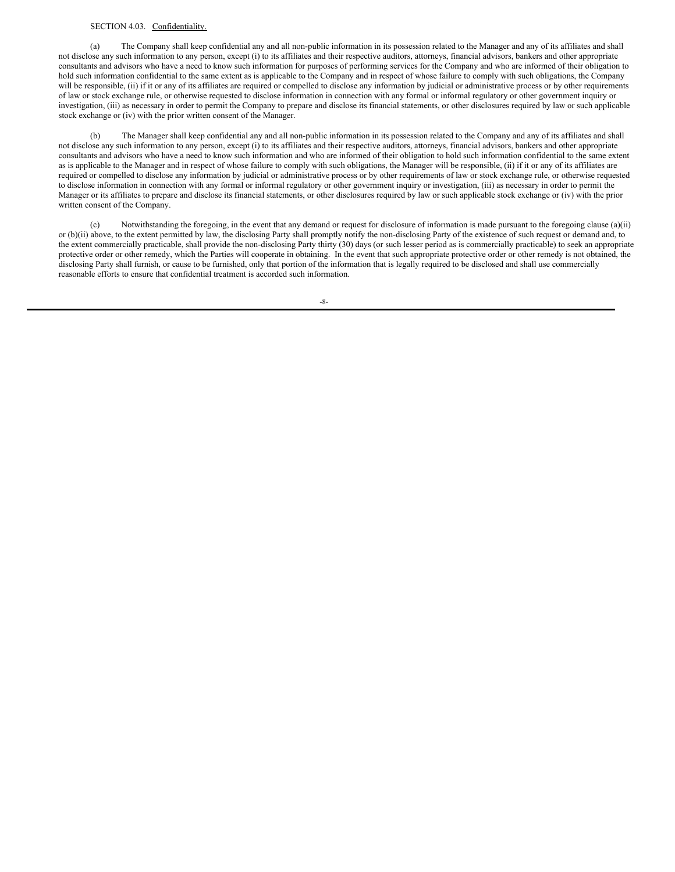#### SECTION 4.03. Confidentiality.

(a) The Company shall keep confidential any and all non-public information in its possession related to the Manager and any of its affiliates and shall not disclose any such information to any person, except (i) to its affiliates and their respective auditors, attorneys, financial advisors, bankers and other appropriate consultants and advisors who have a need to know such information for purposes of performing services for the Company and who are informed of their obligation to hold such information confidential to the same extent as is applicable to the Company and in respect of whose failure to comply with such obligations, the Company will be responsible, (ii) if it or any of its affiliates are required or compelled to disclose any information by judicial or administrative process or by other requirements of law or stock exchange rule, or otherwise requested to disclose information in connection with any formal or informal regulatory or other government inquiry or investigation, (iii) as necessary in order to permit the Company to prepare and disclose its financial statements, or other disclosures required by law or such applicable stock exchange or (iv) with the prior written consent of the Manager.

(b) The Manager shall keep confidential any and all non-public information in its possession related to the Company and any of its affiliates and shall not disclose any such information to any person, except (i) to its affiliates and their respective auditors, attorneys, financial advisors, bankers and other appropriate consultants and advisors who have a need to know such information and who are informed of their obligation to hold such information confidential to the same extent as is applicable to the Manager and in respect of whose failure to comply with such obligations, the Manager will be responsible, (ii) if it or any of its affiliates are required or compelled to disclose any information by judicial or administrative process or by other requirements of law or stock exchange rule, or otherwise requested to disclose information in connection with any formal or informal regulatory or other government inquiry or investigation, (iii) as necessary in order to permit the Manager or its affiliates to prepare and disclose its financial statements, or other disclosures required by law or such applicable stock exchange or (iv) with the prior written consent of the Company.

(c) Notwithstanding the foregoing, in the event that any demand or request for disclosure of information is made pursuant to the foregoing clause (a)(ii) or (b)(ii) above, to the extent permitted by law, the disclosing Party shall promptly notify the non-disclosing Party of the existence of such request or demand and, to the extent commercially practicable, shall provide the non-disclosing Party thirty (30) days (or such lesser period as is commercially practicable) to seek an appropriate protective order or other remedy, which the Parties will cooperate in obtaining. In the event that such appropriate protective order or other remedy is not obtained, the disclosing Party shall furnish, or cause to be furnished, only that portion of the information that is legally required to be disclosed and shall use commercially reasonable efforts to ensure that confidential treatment is accorded such information.

-8-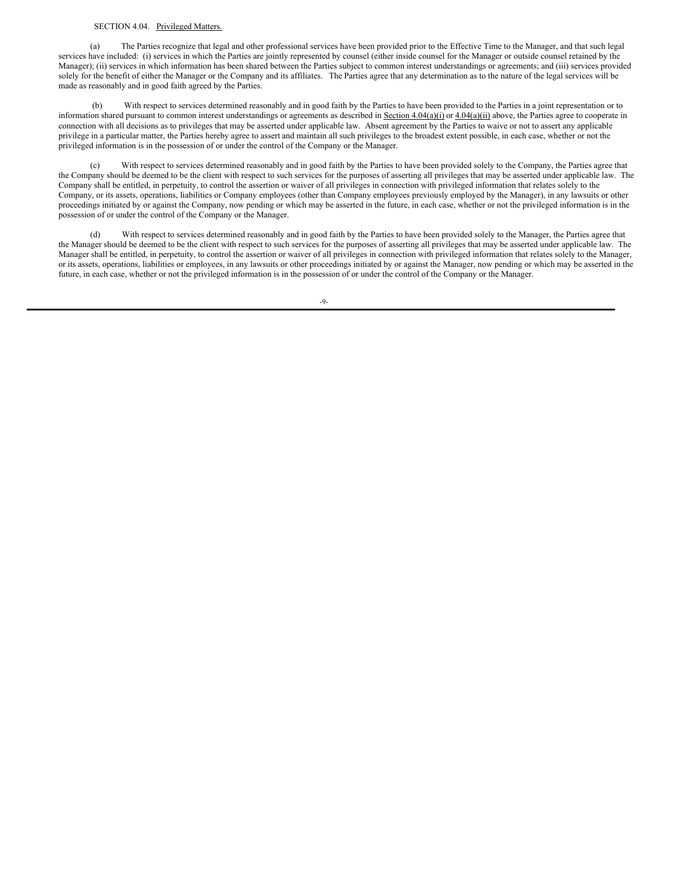#### <span id="page-13-0"></span>SECTION 4.04. Privileged Matters.

(a) The Parties recognize that legal and other professional services have been provided prior to the Effective Time to the Manager, and that such legal services have included: (i) services in which the Parties are jointly represented by counsel (either inside counsel for the Manager or outside counsel retained by the Manager); (ii) services in which information has been shared between the Parties subject to common interest understandings or agreements; and (iii) services provided solely for the benefit of either the Manager or the Company and its affiliates. The Parties agree that any determination as to the nature of the legal services will be made as reasonably and in good faith agreed by the Parties.

(b) With respect to services determined reasonably and in good faith by the Parties to have been provided to the Parties in a joint representation or to information shared pursuant to common interest understandings or agreements as described in Section 4.04(a)(i) or 4.04(a)(ii) above, the Parties agree to cooperate in connection with all decisions as to privileges that may be asserted under applicable law. Absent agreement by the Parties to waive or not to assert any applicable privilege in a particular matter, the Parties hereby agree to assert and maintain all such privileges to the broadest extent possible, in each case, whether or not the privileged information is in the possession of or under the control of the Company or the Manager.

(c) With respect to services determined reasonably and in good faith by the Parties to have been provided solely to the Company, the Parties agree that the Company should be deemed to be the client with respect to such services for the purposes of asserting all privileges that may be asserted under applicable law. The Company shall be entitled, in perpetuity, to control the assertion or waiver of all privileges in connection with privileged information that relates solely to the Company, or its assets, operations, liabilities or Company employees (other than Company employees previously employed by the Manager), in any lawsuits or other proceedings initiated by or against the Company, now pending or which may be asserted in the future, in each case, whether or not the privileged information is in the possession of or under the control of the Company or the Manager.

(d) With respect to services determined reasonably and in good faith by the Parties to have been provided solely to the Manager, the Parties agree that the Manager should be deemed to be the client with respect to such services for the purposes of asserting all privileges that may be asserted under applicable law. The Manager shall be entitled, in perpetuity, to control the assertion or waiver of all privileges in connection with privileged information that relates solely to the Manager, or its assets, operations, liabilities or employees, in any lawsuits or other proceedings initiated by or against the Manager, now pending or which may be asserted in the future, in each case, whether or not the privileged information is in the possession of or under the control of the Company or the Manager.

 $-9-$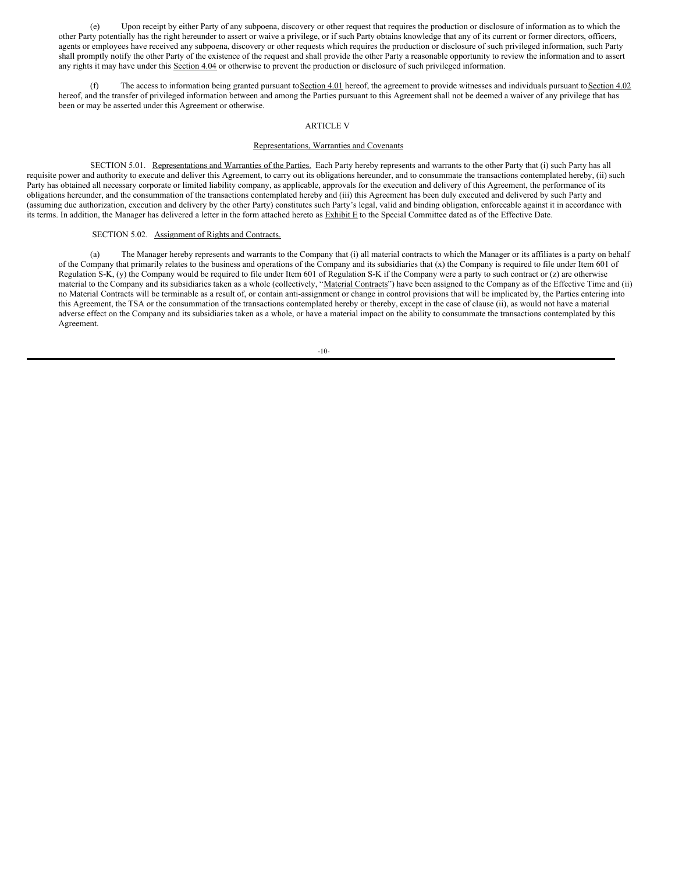(e) Upon receipt by either Party of any subpoena, discovery or other request that requires the production or disclosure of information as to which the other Party potentially has the right hereunder to assert or waive a privilege, or if such Party obtains knowledge that any of its current or former directors, officers, agents or employees have received any subpoena, discovery or other requests which requires the production or disclosure of such privileged information, such Party shall promptly notify the other Party of the existence of the request and shall provide the other Party a reasonable opportunity to review the information and to assert any rights it may have under this Section 4.04 or otherwise to prevent the production or disclosure of such privileged information.

(f) The access to information being granted pursuant to Section 4.01 hereof, the agreement to provide witnesses and individuals pursuant to Section 4.02 hereof, and the transfer of privileged information between and among the Parties pursuant to this Agreement shall not be deemed a waiver of any privilege that has been or may be asserted under this Agreement or otherwise.

#### ARTICLE V

#### Representations, Warranties and Covenants

SECTION 5.01. Representations and Warranties of the Parties. Each Party hereby represents and warrants to the other Party that (i) such Party has all requisite power and authority to execute and deliver this Agreement, to carry out its obligations hereunder, and to consummate the transactions contemplated hereby, (ii) such Party has obtained all necessary corporate or limited liability company, as applicable, approvals for the execution and delivery of this Agreement, the performance of its obligations hereunder, and the consummation of the transactions contemplated hereby and (iii) this Agreement has been duly executed and delivered by such Party and (assuming due authorization, execution and delivery by the other Party) constitutes such Party's legal, valid and binding obligation, enforceable against it in accordance with its terms. In addition, the Manager has delivered a letter in the form attached hereto as Exhibit E to the Special Committee dated as of the Effective Date.

#### SECTION 5.02. Assignment of Rights and Contracts.

(a) The Manager hereby represents and warrants to the Company that (i) all material contracts to which the Manager or its affiliates is a party on behalf of the Company that primarily relates to the business and operations of the Company and its subsidiaries that (x) the Company is required to file under Item 601 of Regulation S-K, (y) the Company would be required to file under Item 601 of Regulation S-K if the Company were a party to such contract or (z) are otherwise material to the Company and its subsidiaries taken as a whole (collectively, "Material Contracts") have been assigned to the Company as of the Effective Time and (ii) no Material Contracts will be terminable as a result of, or contain anti-assignment or change in control provisions that will be implicated by, the Parties entering into this Agreement, the TSA or the consummation of the transactions contemplated hereby or thereby, except in the case of clause (ii), as would not have a material adverse effect on the Company and its subsidiaries taken as a whole, or have a material impact on the ability to consummate the transactions contemplated by this Agreement.

-10-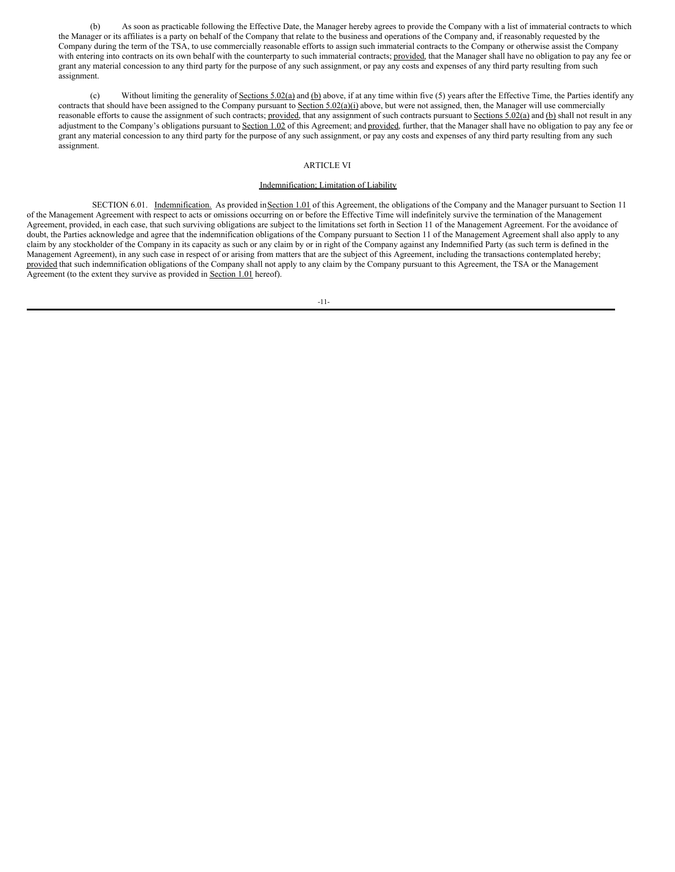(b) As soon as practicable following the Effective Date, the Manager hereby agrees to provide the Company with a list of immaterial contracts to which the Manager or its affiliates is a party on behalf of the Company that relate to the business and operations of the Company and, if reasonably requested by the Company during the term of the TSA, to use commercially reasonable efforts to assign such immaterial contracts to the Company or otherwise assist the Company with entering into contracts on its own behalf with the counterparty to such immaterial contracts; provided, that the Manager shall have no obligation to pay any fee or grant any material concession to any third party for the purpose of any such assignment, or pay any costs and expenses of any third party resulting from such assignment.

(c) Without limiting the generality of Sections  $5.02(a)$  and (b) above, if at any time within five (5) years after the Effective Time, the Parties identify any contracts that should have been assigned to the Company pursuant to Section 5.02(a)(i) above, but were not assigned, then, the Manager will use commercially reasonable efforts to cause the assignment of such contracts; provided, that any assignment of such contracts pursuant to Sections 5.02(a) and (b) shall not result in any adjustment to the Company's obligations pursuant to Section 1.02 of this Agreement; and provided, further, that the Manager shall have no obligation to pay any fee or grant any material concession to any third party for the purpose of any such assignment, or pay any costs and expenses of any third party resulting from any such assignment.

#### ARTICLE VI

#### Indemnification; Limitation of Liability

SECTION 6.01. Indemnification. As provided in Section 1.01 of this Agreement, the obligations of the Company and the Manager pursuant to Section 11 of the Management Agreement with respect to acts or omissions occurring on or before the Effective Time will indefinitely survive the termination of the Management Agreement, provided, in each case, that such surviving obligations are subject to the limitations set forth in Section 11 of the Management Agreement. For the avoidance of doubt, the Parties acknowledge and agree that the indemnification obligations of the Company pursuant to Section 11 of the Management Agreement shall also apply to any claim by any stockholder of the Company in its capacity as such or any claim by or in right of the Company against any Indemnified Party (as such term is defined in the Management Agreement), in any such case in respect of or arising from matters that are the subject of this Agreement, including the transactions contemplated hereby; provided that such indemnification obligations of the Company shall not apply to any claim by the Company pursuant to this Agreement, the TSA or the Management Agreement (to the extent they survive as provided in **Section 1.01** hereof).

-11-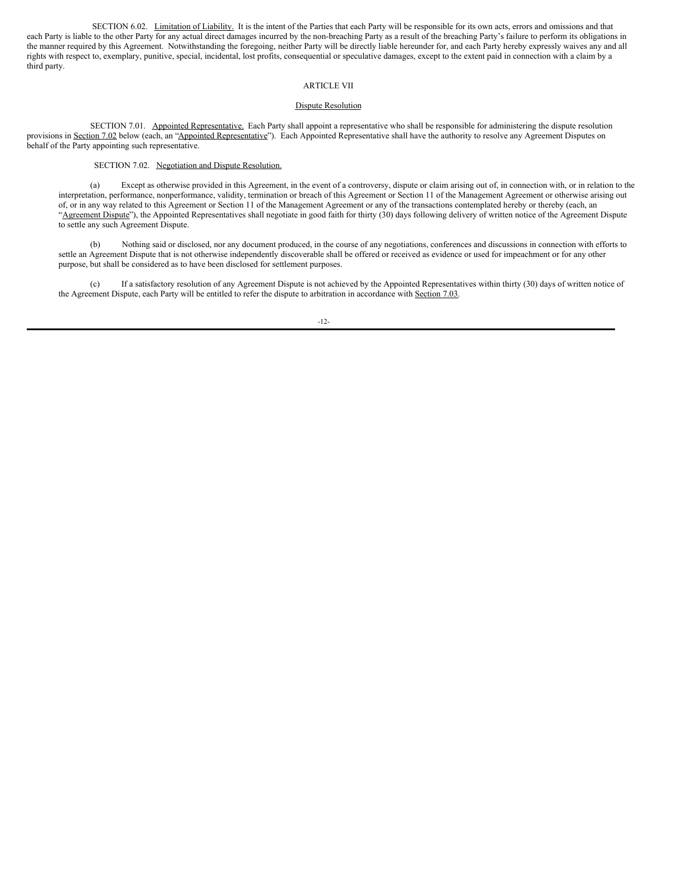SECTION 6.02. Limitation of Liability. It is the intent of the Parties that each Party will be responsible for its own acts, errors and omissions and that each Party is liable to the other Party for any actual direct damages incurred by the non-breaching Party as a result of the breaching Party's failure to perform its obligations in the manner required by this Agreement. Notwithstanding the foregoing, neither Party will be directly liable hereunder for, and each Party hereby expressly waives any and all rights with respect to, exemplary, punitive, special, incidental, lost profits, consequential or speculative damages, except to the extent paid in connection with a claim by a third party.

#### ARTICLE VII

#### Dispute Resolution

SECTION 7.01. Appointed Representative. Each Party shall appoint a representative who shall be responsible for administering the dispute resolution provisions in Section 7.02 below (each, an "Appointed Representative"). Each Appointed Representative shall have the authority to resolve any Agreement Disputes on behalf of the Party appointing such representative.

#### SECTION 7.02. Negotiation and Dispute Resolution.

(a) Except as otherwise provided in this Agreement, in the event of a controversy, dispute or claim arising out of, in connection with, or in relation to the interpretation, performance, nonperformance, validity, termination or breach of this Agreement or Section 11 of the Management Agreement or otherwise arising out of, or in any way related to this Agreement or Section 11 of the Management Agreement or any of the transactions contemplated hereby or thereby (each, an "Agreement Dispute"), the Appointed Representatives shall negotiate in good faith for thirty (30) days following delivery of written notice of the Agreement Dispute to settle any such Agreement Dispute.

(b) Nothing said or disclosed, nor any document produced, in the course of any negotiations, conferences and discussions in connection with efforts to settle an Agreement Dispute that is not otherwise independently discoverable shall be offered or received as evidence or used for impeachment or for any other purpose, but shall be considered as to have been disclosed for settlement purposes.

(c) If a satisfactory resolution of any Agreement Dispute is not achieved by the Appointed Representatives within thirty (30) days of written notice of the Agreement Dispute, each Party will be entitled to refer the dispute to arbitration in accordance with Section 7.03.

-12-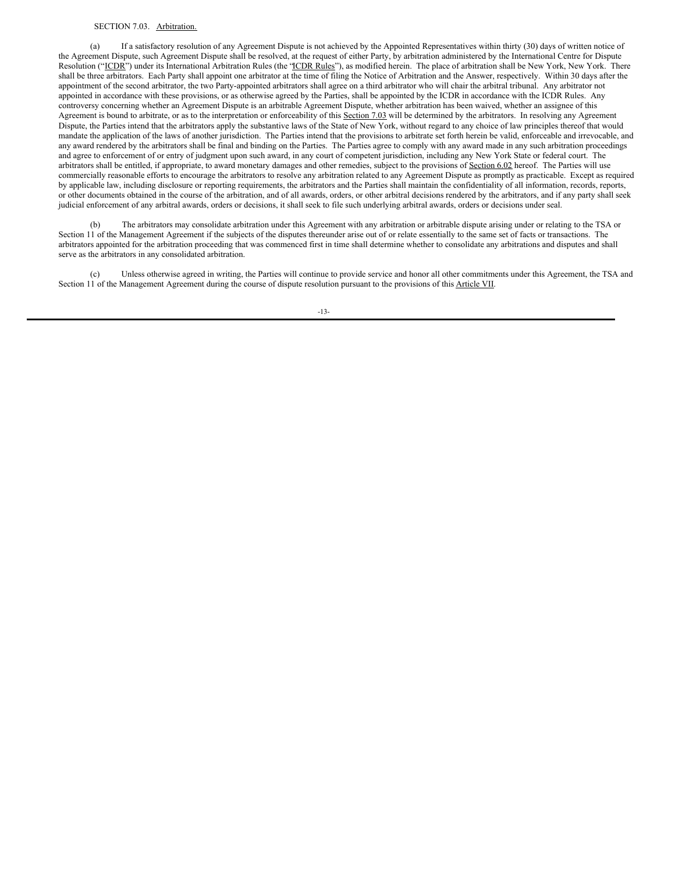#### SECTION 7.03. Arbitration.

(a) If a satisfactory resolution of any Agreement Dispute is not achieved by the Appointed Representatives within thirty (30) days of written notice of the Agreement Dispute, such Agreement Dispute shall be resolved, at the request of either Party, by arbitration administered by the International Centre for Dispute Resolution ("ICDR") under its International Arbitration Rules (the "ICDR Rules"), as modified herein. The place of arbitration shall be New York, New York. There shall be three arbitrators. Each Party shall appoint one arbitrator at the time of filing the Notice of Arbitration and the Answer, respectively. Within 30 days after the appointment of the second arbitrator, the two Party-appointed arbitrators shall agree on a third arbitrator who will chair the arbitral tribunal. Any arbitrator not appointed in accordance with these provisions, or as otherwise agreed by the Parties, shall be appointed by the ICDR in accordance with the ICDR Rules. Any controversy concerning whether an Agreement Dispute is an arbitrable Agreement Dispute, whether arbitration has been waived, whether an assignee of this Agreement is bound to arbitrate, or as to the interpretation or enforceability of this Section 7.03 will be determined by the arbitrators. In resolving any Agreement Dispute, the Parties intend that the arbitrators apply the substantive laws of the State of New York, without regard to any choice of law principles thereof that would mandate the application of the laws of another jurisdiction. The Parties intend that the provisions to arbitrate set forth herein be valid, enforceable and irrevocable, and any award rendered by the arbitrators shall be final and binding on the Parties. The Parties agree to comply with any award made in any such arbitration proceedings and agree to enforcement of or entry of judgment upon such award, in any court of competent jurisdiction, including any New York State or federal court. The arbitrators shall be entitled, if appropriate, to award monetary damages and other remedies, subject to the provisions of Section 6.02 hereof. The Parties will use commercially reasonable efforts to encourage the arbitrators to resolve any arbitration related to any Agreement Dispute as promptly as practicable. Except as required by applicable law, including disclosure or reporting requirements, the arbitrators and the Parties shall maintain the confidentiality of all information, records, reports, or other documents obtained in the course of the arbitration, and of all awards, orders, or other arbitral decisions rendered by the arbitrators, and if any party shall seek judicial enforcement of any arbitral awards, orders or decisions, it shall seek to file such underlying arbitral awards, orders or decisions under seal.

(b) The arbitrators may consolidate arbitration under this Agreement with any arbitration or arbitrable dispute arising under or relating to the TSA or Section 11 of the Management Agreement if the subjects of the disputes thereunder arise out of or relate essentially to the same set of facts or transactions. The arbitrators appointed for the arbitration proceeding that was commenced first in time shall determine whether to consolidate any arbitrations and disputes and shall serve as the arbitrators in any consolidated arbitration.

(c) Unless otherwise agreed in writing, the Parties will continue to provide service and honor all other commitments under this Agreement, the TSA and Section 11 of the Management Agreement during the course of dispute resolution pursuant to the provisions of this Article VII.

-13-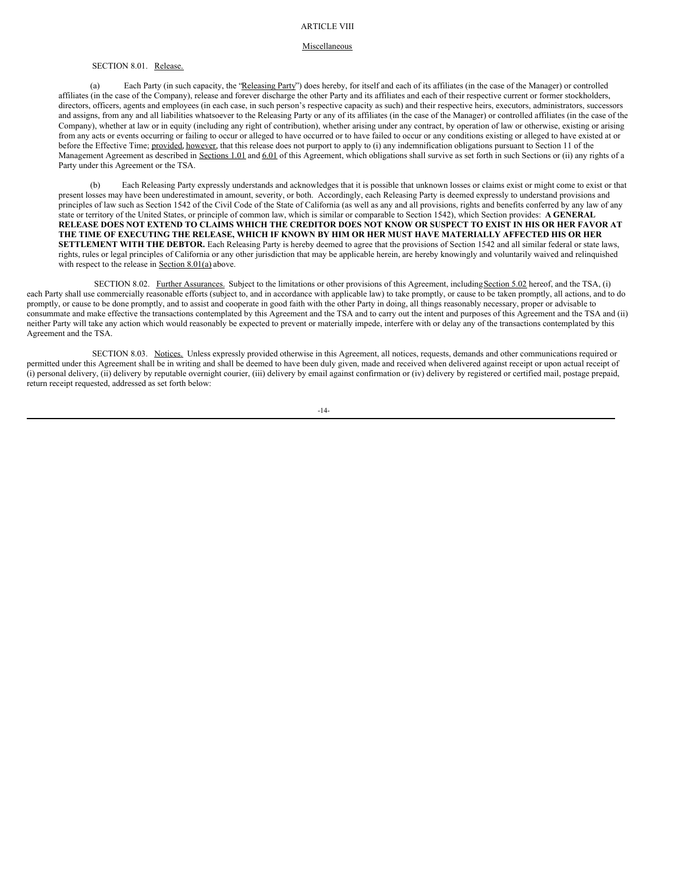#### Miscellaneous

#### SECTION 8.01. Release.

(a) Each Party (in such capacity, the "Releasing Party") does hereby, for itself and each of its affiliates (in the case of the Manager) or controlled affiliates (in the case of the Company), release and forever discharge the other Party and its affiliates and each of their respective current or former stockholders, directors, officers, agents and employees (in each case, in such person's respective capacity as such) and their respective heirs, executors, administrators, successors and assigns, from any and all liabilities whatsoever to the Releasing Party or any of its affiliates (in the case of the Manager) or controlled affiliates (in the case of the Company), whether at law or in equity (including any right of contribution), whether arising under any contract, by operation of law or otherwise, existing or arising from any acts or events occurring or failing to occur or alleged to have occurred or to have failed to occur or any conditions existing or alleged to have existed at or before the Effective Time; provided, however, that this release does not purport to apply to (i) any indemnification obligations pursuant to Section 11 of the Management Agreement as described in Sections 1.01 and 6.01 of this Agreement, which obligations shall survive as set forth in such Sections or (ii) any rights of a Party under this Agreement or the TSA.

(b) Each Releasing Party expressly understands and acknowledges that it is possible that unknown losses or claims exist or might come to exist or that present losses may have been underestimated in amount, severity, or both. Accordingly, each Releasing Party is deemed expressly to understand provisions and principles of law such as Section 1542 of the Civil Code of the State of California (as well as any and all provisions, rights and benefits conferred by any law of any state or territory of the United States, or principle of common law, which is similar or comparable to Section 1542), which Section provides: **A GENERAL** RELEASE DOES NOT EXTEND TO CLAIMS WHICH THE CREDITOR DOES NOT KNOW OR SUSPECT TO EXIST IN HIS OR HER FAVOR AT THE TIME OF EXECUTING THE RELEASE, WHICH IF KNOWN BY HIM OR HER MUST HAVE MATERIALLY AFFECTED HIS OR HER **SETTLEMENT WITH THE DEBTOR.** Each Releasing Party is hereby deemed to agree that the provisions of Section 1542 and all similar federal or state laws, rights, rules or legal principles of California or any other jurisdiction that may be applicable herein, are hereby knowingly and voluntarily waived and relinquished with respect to the release in  $Section 8.01(a)$  above.

SECTION 8.02. Further Assurances. Subject to the limitations or other provisions of this Agreement, including Section 5.02 hereof, and the TSA, (i) each Party shall use commercially reasonable efforts (subject to, and in accordance with applicable law) to take promptly, or cause to be taken promptly, all actions, and to do promptly, or cause to be done promptly, and to assist and cooperate in good faith with the other Party in doing, all things reasonably necessary, proper or advisable to consummate and make effective the transactions contemplated by this Agreement and the TSA and to carry out the intent and purposes of this Agreement and the TSA and (ii) neither Party will take any action which would reasonably be expected to prevent or materially impede, interfere with or delay any of the transactions contemplated by this Agreement and the TSA.

SECTION 8.03. Notices. Unless expressly provided otherwise in this Agreement, all notices, requests, demands and other communications required or permitted under this Agreement shall be in writing and shall be deemed to have been duly given, made and received when delivered against receipt or upon actual receipt of (i) personal delivery, (ii) delivery by reputable overnight courier, (iii) delivery by email against confirmation or (iv) delivery by registered or certified mail, postage prepaid, return receipt requested, addressed as set forth below:

-14-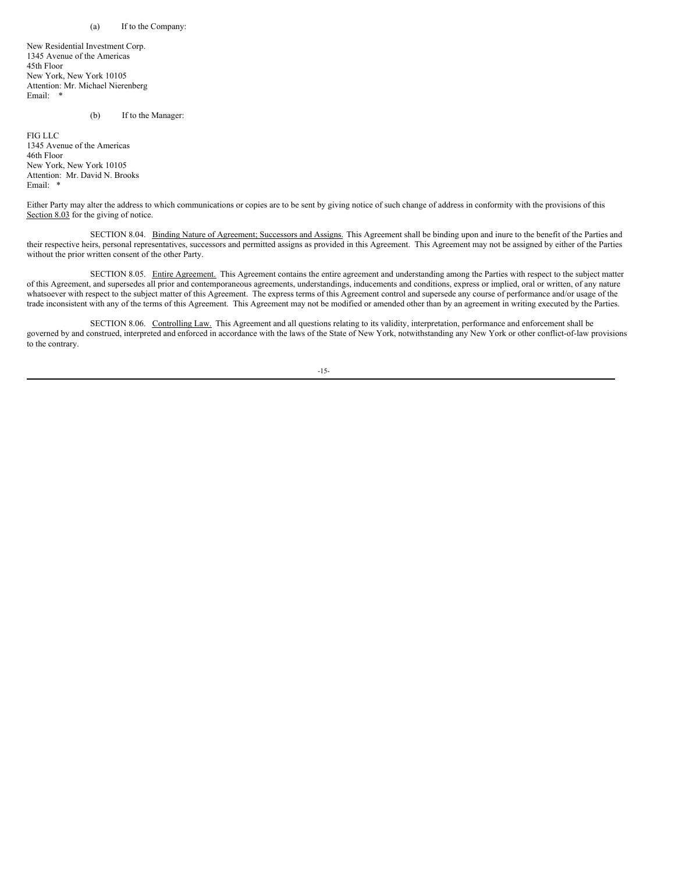#### (a) If to the Company:

New Residential Investment Corp. 1345 Avenue of the Americas 45th Floor New York, New York 10105 Attention: Mr. Michael Nierenberg Email: \*

(b) If to the Manager:

FIG LLC 1345 Avenue of the Americas 46th Floor New York, New York 10105 Attention: Mr. David N. Brooks Email: \*

Either Party may alter the address to which communications or copies are to be sent by giving notice of such change of address in conformity with the provisions of this Section 8.03 for the giving of notice.

SECTION 8.04. Binding Nature of Agreement; Successors and Assigns. This Agreement shall be binding upon and inure to the benefit of the Parties and their respective heirs, personal representatives, successors and permitted assigns as provided in this Agreement. This Agreement may not be assigned by either of the Parties without the prior written consent of the other Party.

SECTION 8.05. Entire Agreement. This Agreement contains the entire agreement and understanding among the Parties with respect to the subject matter of this Agreement, and supersedes all prior and contemporaneous agreements, understandings, inducements and conditions, express or implied, oral or written, of any nature whatsoever with respect to the subject matter of this Agreement. The express terms of this Agreement control and supersede any course of performance and/or usage of the trade inconsistent with any of the terms of this Agreement. This Agreement may not be modified or amended other than by an agreement in writing executed by the Parties.

SECTION 8.06. Controlling Law. This Agreement and all questions relating to its validity, interpretation, performance and enforcement shall be governed by and construed, interpreted and enforced in accordance with the laws of the State of New York, notwithstanding any New York or other conflict-of-law provisions to the contrary.

-15-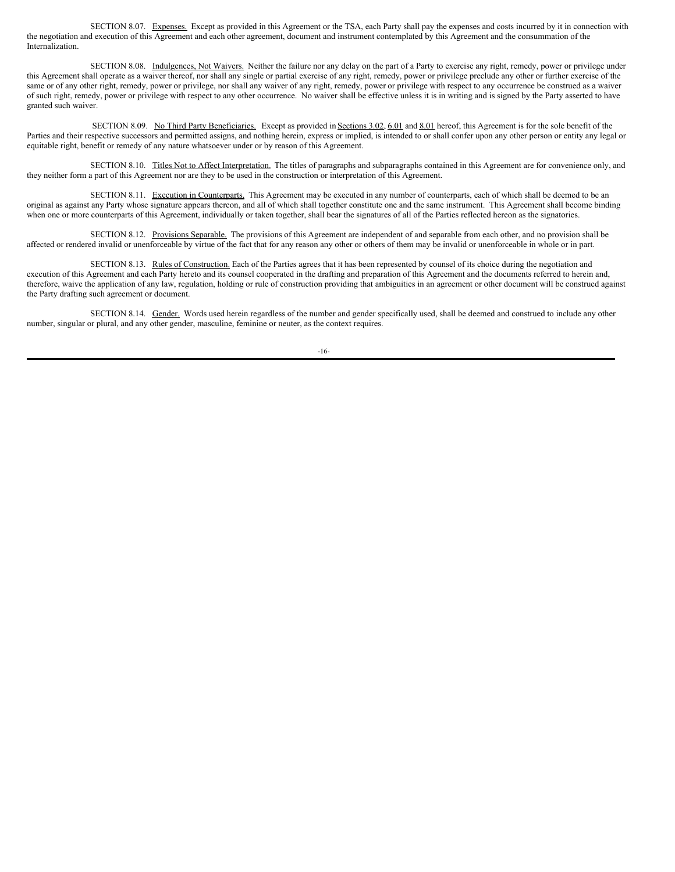SECTION 8.07. Expenses. Except as provided in this Agreement or the TSA, each Party shall pay the expenses and costs incurred by it in connection with the negotiation and execution of this Agreement and each other agreement, document and instrument contemplated by this Agreement and the consummation of the Internalization.

SECTION 8.08. Indulgences, Not Waivers. Neither the failure nor any delay on the part of a Party to exercise any right, remedy, power or privilege under this Agreement shall operate as a waiver thereof, nor shall any single or partial exercise of any right, remedy, power or privilege preclude any other or further exercise of the same or of any other right, remedy, power or privilege, nor shall any waiver of any right, remedy, power or privilege with respect to any occurrence be construed as a waiver of such right, remedy, power or privilege with respect to any other occurrence. No waiver shall be effective unless it is in writing and is signed by the Party asserted to have granted such waiver.

SECTION 8.09. No Third Party Beneficiaries. Except as provided in Sections 3.02, 6.01 and 8.01 hereof, this Agreement is for the sole benefit of the Parties and their respective successors and permitted assigns, and nothing herein, express or implied, is intended to or shall confer upon any other person or entity any legal or equitable right, benefit or remedy of any nature whatsoever under or by reason of this Agreement.

SECTION 8.10. Titles Not to Affect Interpretation. The titles of paragraphs and subparagraphs contained in this Agreement are for convenience only, and they neither form a part of this Agreement nor are they to be used in the construction or interpretation of this Agreement.

SECTION 8.11. Execution in Counterparts. This Agreement may be executed in any number of counterparts, each of which shall be deemed to be an original as against any Party whose signature appears thereon, and all of which shall together constitute one and the same instrument. This Agreement shall become binding when one or more counterparts of this Agreement, individually or taken together, shall bear the signatures of all of the Parties reflected hereon as the signatories.

SECTION 8.12. Provisions Separable. The provisions of this Agreement are independent of and separable from each other, and no provision shall be affected or rendered invalid or unenforceable by virtue of the fact that for any reason any other or others of them may be invalid or unenforceable in whole or in part.

SECTION 8.13. Rules of Construction. Each of the Parties agrees that it has been represented by counsel of its choice during the negotiation and execution of this Agreement and each Party hereto and its counsel cooperated in the drafting and preparation of this Agreement and the documents referred to herein and, therefore, waive the application of any law, regulation, holding or rule of construction providing that ambiguities in an agreement or other document will be construed against the Party drafting such agreement or document.

SECTION 8.14. Gender. Words used herein regardless of the number and gender specifically used, shall be deemed and construed to include any other number, singular or plural, and any other gender, masculine, feminine or neuter, as the context requires.

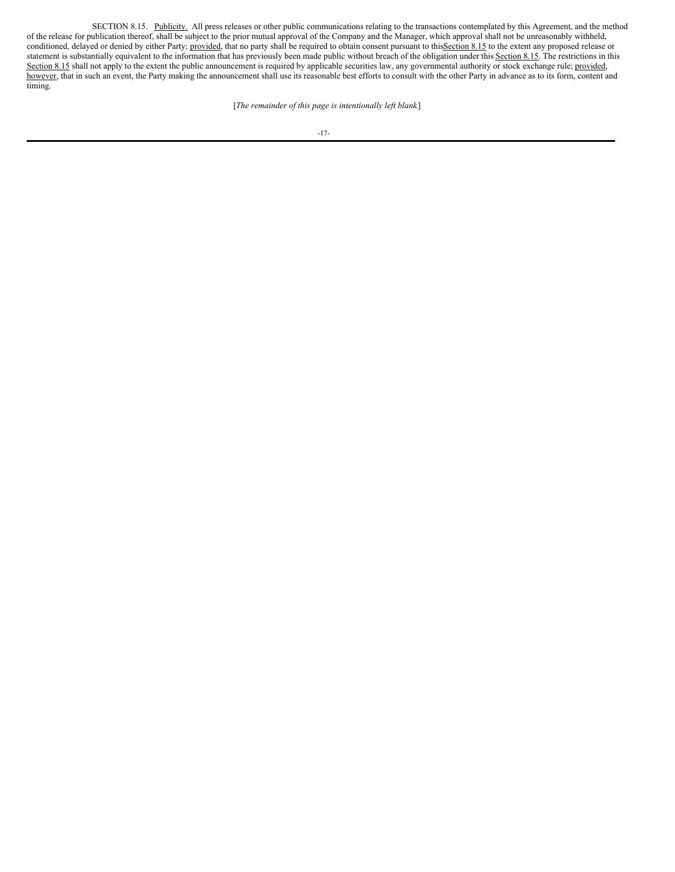SECTION 8.15. Publicity. All press releases or other public communications relating to the transactions contemplated by this Agreement, and the method of the release for publication thereof, shall be subject to the prior mutual approval of the Company and the Manager, which approval shall not be unreasonably withheld, conditioned, delayed or denied by either Party; provided, that no party shall be required to obtain consent pursuant to this Section 8.15 to the extent any proposed release or statement is substantially equivalent to the information that has previously been made public without breach of the obligation under this Section 8.15. The restrictions in this Section 8.15 shall not apply to the extent the public announcement is required by applicable securities law, any governmental authority or stock exchange rule; provided, however, that in such an event, the Party making the announcement shall use its reasonable best efforts to consult with the other Party in advance as to its form, content and timing.

[*The remainder of this page is intentionally left blank*.]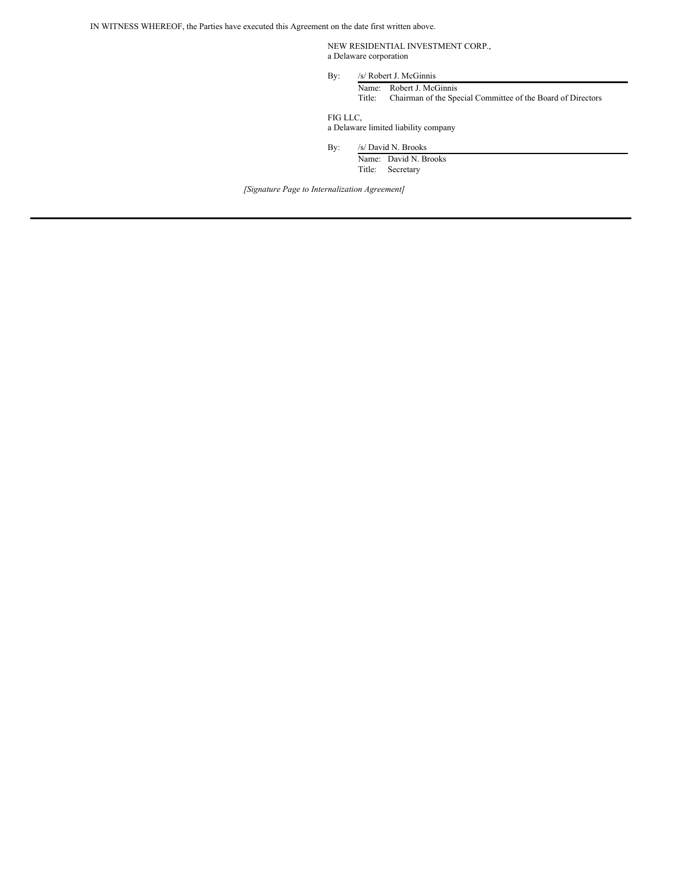IN WITNESS WHEREOF, the Parties have executed this Agreement on the date first written above.

NEW RESIDENTIAL INVESTMENT CORP., a Delaware corporation

By: /s/ Robert J. McGinnis Name: Robert J. McGinnis

Title: Chairman of the Special Committee of the Board of Directors

FIG LLC, a Delaware limited liability company

By: /s/ David N. Brooks

Name: David N. Brooks Title: Secretary

*[Signature Page to Internalization Agreement]*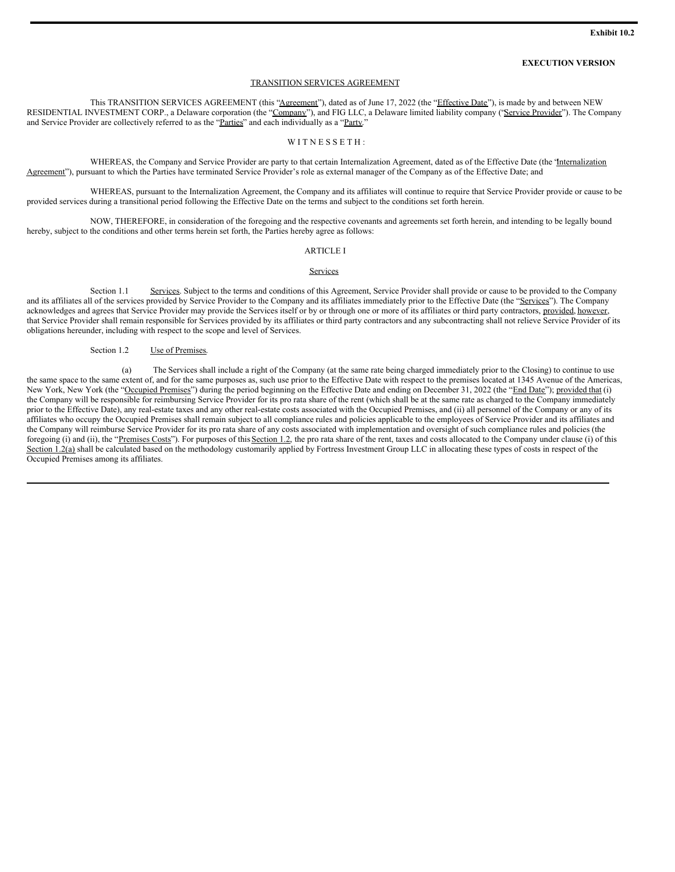#### **EXECUTION VERSION**

#### TRANSITION SERVICES AGREEMENT

This TRANSITION SERVICES AGREEMENT (this "Agreement"), dated as of June 17, 2022 (the "Effective Date"), is made by and between NEW RESIDENTIAL INVESTMENT CORP., a Delaware corporation (the "Company"), and FIG LLC, a Delaware limited liability company ("Service Provider"). The Company and Service Provider are collectively referred to as the "Parties" and each individually as a "Party."

#### WITNESSETH:

WHEREAS, the Company and Service Provider are party to that certain Internalization Agreement, dated as of the Effective Date (the 'Internalization Agreement"), pursuant to which the Parties have terminated Service Provider's role as external manager of the Company as of the Effective Date; and

WHEREAS, pursuant to the Internalization Agreement, the Company and its affiliates will continue to require that Service Provider provide or cause to be provided services during a transitional period following the Effective Date on the terms and subject to the conditions set forth herein.

NOW, THEREFORE, in consideration of the foregoing and the respective covenants and agreements set forth herein, and intending to be legally bound hereby, subject to the conditions and other terms herein set forth, the Parties hereby agree as follows:

#### ARTICLE I

#### Services

Section 1.1 Services. Subject to the terms and conditions of this Agreement, Service Provider shall provide or cause to be provided to the Company and its affiliates all of the services provided by Service Provider to the Company and its affiliates immediately prior to the Effective Date (the "Services"). The Company acknowledges and agrees that Service Provider may provide the Services itself or by or through one or more of its affiliates or third party contractors, provided, however, that Service Provider shall remain responsible for Services provided by its affiliates or third party contractors and any subcontracting shall not relieve Service Provider of its obligations hereunder, including with respect to the scope and level of Services.

#### Section 1.2 Use of Premises.

(a) The Services shall include a right of the Company (at the same rate being charged immediately prior to the Closing) to continue to use the same space to the same extent of, and for the same purposes as, such use prior to the Effective Date with respect to the premises located at 1345 Avenue of the Americas, New York, New York (the "Occupied Premises") during the period beginning on the Effective Date and ending on December 31, 2022 (the "End Date"); provided that (i) the Company will be responsible for reimbursing Service Provider for its pro rata share of the rent (which shall be at the same rate as charged to the Company immediately prior to the Effective Date), any real-estate taxes and any other real-estate costs associated with the Occupied Premises, and (ii) all personnel of the Company or any of its affiliates who occupy the Occupied Premises shall remain subject to all compliance rules and policies applicable to the employees of Service Provider and its affiliates and the Company will reimburse Service Provider for its pro rata share of any costs associated with implementation and oversight of such compliance rules and policies (the foregoing (i) and (ii), the "Premises Costs"). For purposes of this Section 1.2, the pro rata share of the rent, taxes and costs allocated to the Company under clause (i) of this Section 1.2(a) shall be calculated based on the methodology customarily applied by Fortress Investment Group LLC in allocating these types of costs in respect of the Occupied Premises among its affiliates.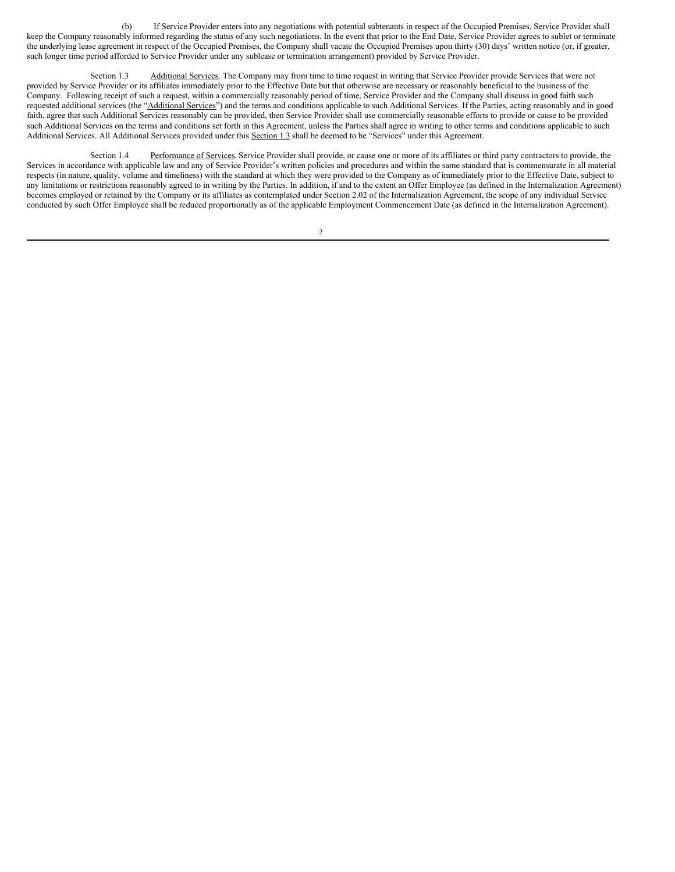(b) If Service Provider enters into any negotiations with potential subtenants in respect of the Occupied Premises, Service Provider shall keep the Company reasonably informed regarding the status of any such negotiations. In the event that prior to the End Date, Service Provider agrees to sublet or terminate the underlying lease agreement in respect of the Occupied Premises, the Company shall vacate the Occupied Premises upon thirty (30) days' written notice (or, if greater, such longer time period afforded to Service Provider under any sublease or termination arrangement) provided by Service Provider.

Section 1.3 Additional Services. The Company may from time to time request in writing that Service Provider provide Services that were not provided by Service Provider or its affiliates immediately prior to the Effective Date but that otherwise are necessary or reasonably beneficial to the business of the Company. Following receipt of such a request, within a commercially reasonably period of time, Service Provider and the Company shall discuss in good faith such requested additional services (the "Additional Services") and the terms and conditions applicable to such Additional Services. If the Parties, acting reasonably and in good faith, agree that such Additional Services reasonably can be provided, then Service Provider shall use commercially reasonable efforts to provide or cause to be provided such Additional Services on the terms and conditions set forth in this Agreement, unless the Parties shall agree in writing to other terms and conditions applicable to such Additional Services. All Additional Services provided under this Section 1.3 shall be deemed to be "Services" under this Agreement.

Section 1.4 Performance of Services. Service Provider shall provide, or cause one or more of its affiliates or third party contractors to provide, the Services in accordance with applicable law and any of Service Provider's written policies and procedures and within the same standard that is commensurate in all material respects (in nature, quality, volume and timeliness) with the standard at which they were provided to the Company as of immediately prior to the Effective Date, subject to any limitations or restrictions reasonably agreed to in writing by the Parties. In addition, if and to the extent an Offer Employee (as defined in the Internalization Agreement) becomes employed or retained by the Company or its affiliates as contemplated under Section 2.02 of the Internalization Agreement, the scope of any individual Service conducted by such Offer Employee shall be reduced proportionally as of the applicable Employment Commencement Date (as defined in the Internalization Agreement).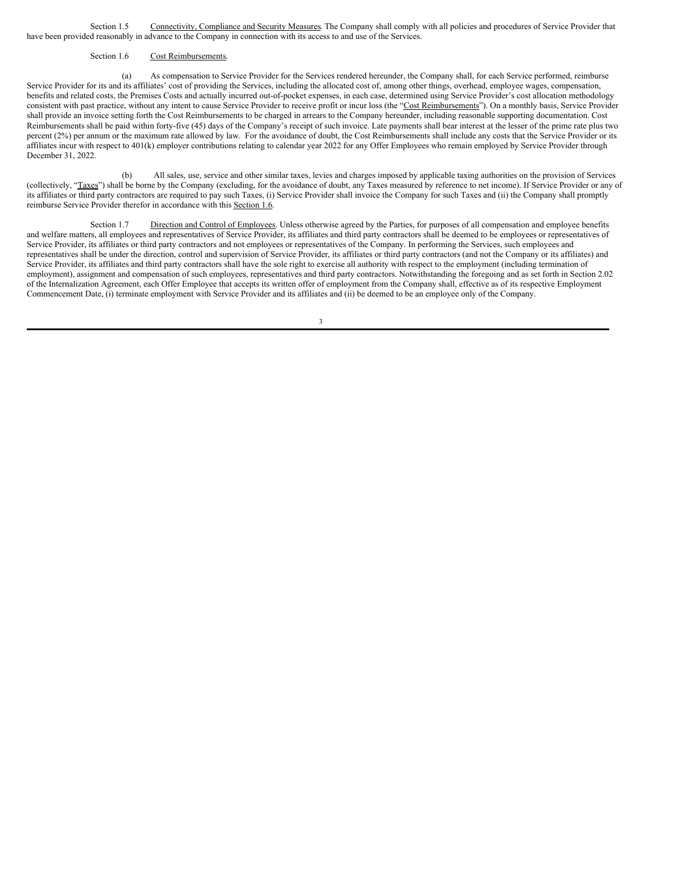Section 1.5 Connectivity, Compliance and Security Measures. The Company shall comply with all policies and procedures of Service Provider that have been provided reasonably in advance to the Company in connection with its access to and use of the Services.

#### Section 1.6 Cost Reimbursements.

(a) As compensation to Service Provider for the Services rendered hereunder, the Company shall, for each Service performed, reimburse Service Provider for its and its affiliates' cost of providing the Services, including the allocated cost of, among other things, overhead, employee wages, compensation, benefits and related costs, the Premises Costs and actually incurred out-of-pocket expenses, in each case, determined using Service Provider's cost allocation methodology consistent with past practice, without any intent to cause Service Provider to receive profit or incur loss (the "Cost Reimbursements"). On a monthly basis, Service Provider shall provide an invoice setting forth the Cost Reimbursements to be charged in arrears to the Company hereunder, including reasonable supporting documentation. Cost Reimbursements shall be paid within forty-five (45) days of the Company's receipt of such invoice. Late payments shall bear interest at the lesser of the prime rate plus two percent (2%) per annum or the maximum rate allowed by law. For the avoidance of doubt, the Cost Reimbursements shall include any costs that the Service Provider or its affiliates incur with respect to 401(k) employer contributions relating to calendar year 2022 for any Offer Employees who remain employed by Service Provider through December 31, 2022.

(b) All sales, use, service and other similar taxes, levies and charges imposed by applicable taxing authorities on the provision of Services (collectively, "Taxes") shall be borne by the Company (excluding, for the avoidance of doubt, any Taxes measured by reference to net income). If Service Provider or any of its affiliates or third party contractors are required to pay such Taxes, (i) Service Provider shall invoice the Company for such Taxes and (ii) the Company shall promptly reimburse Service Provider therefor in accordance with this Section 1.6.

Section 1.7 Direction and Control of Employees. Unless otherwise agreed by the Parties, for purposes of all compensation and employee benefits and welfare matters, all employees and representatives of Service Provider, its affiliates and third party contractors shall be deemed to be employees or representatives of Service Provider, its affiliates or third party contractors and not employees or representatives of the Company. In performing the Services, such employees and representatives shall be under the direction, control and supervision of Service Provider, its affiliates or third party contractors (and not the Company or its affiliates) and Service Provider, its affiliates and third party contractors shall have the sole right to exercise all authority with respect to the employment (including termination of employment), assignment and compensation of such employees, representatives and third party contractors. Notwithstanding the foregoing and as set forth in Section 2.02 of the Internalization Agreement, each Offer Employee that accepts its written offer of employment from the Company shall, effective as of its respective Employment Commencement Date, (i) terminate employment with Service Provider and its affiliates and (ii) be deemed to be an employee only of the Company.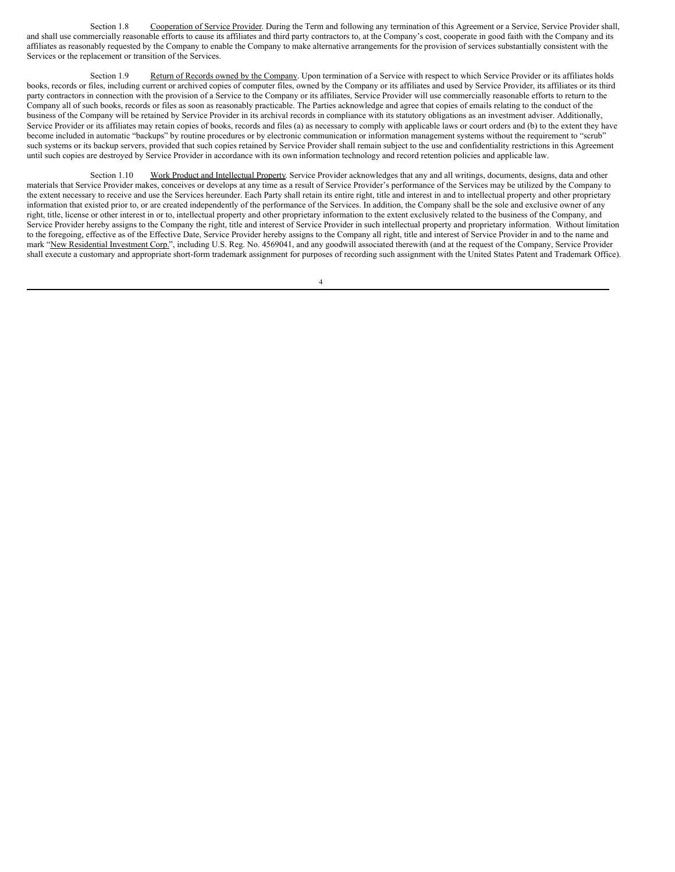Section 1.8 Cooperation of Service Provider. During the Term and following any termination of this Agreement or a Service, Service Provider shall, and shall use commercially reasonable efforts to cause its affiliates and third party contractors to, at the Company's cost, cooperate in good faith with the Company and its affiliates as reasonably requested by the Company to enable the Company to make alternative arrangements for the provision of services substantially consistent with the Services or the replacement or transition of the Services.

Section 1.9 Return of Records owned by the Company. Upon termination of a Service with respect to which Service Provider or its affiliates holds books, records or files, including current or archived copies of computer files, owned by the Company or its affiliates and used by Service Provider, its affiliates or its third party contractors in connection with the provision of a Service to the Company or its affiliates, Service Provider will use commercially reasonable efforts to return to the Company all of such books, records or files as soon as reasonably practicable. The Parties acknowledge and agree that copies of emails relating to the conduct of the business of the Company will be retained by Service Provider in its archival records in compliance with its statutory obligations as an investment adviser. Additionally, Service Provider or its affiliates may retain copies of books, records and files (a) as necessary to comply with applicable laws or court orders and (b) to the extent they have become included in automatic "backups" by routine procedures or by electronic communication or information management systems without the requirement to "scrub" such systems or its backup servers, provided that such copies retained by Service Provider shall remain subject to the use and confidentiality restrictions in this Agreement until such copies are destroyed by Service Provider in accordance with its own information technology and record retention policies and applicable law.

Section 1.10 Work Product and Intellectual Property. Service Provider acknowledges that any and all writings, documents, designs, data and other materials that Service Provider makes, conceives or develops at any time as a result of Service Provider's performance of the Services may be utilized by the Company to the extent necessary to receive and use the Services hereunder. Each Party shall retain its entire right, title and interest in and to intellectual property and other proprietary information that existed prior to, or are created independently of the performance of the Services. In addition, the Company shall be the sole and exclusive owner of any right, title, license or other interest in or to, intellectual property and other proprietary information to the extent exclusively related to the business of the Company, and Service Provider hereby assigns to the Company the right, title and interest of Service Provider in such intellectual property and proprietary information. Without limitation to the foregoing, effective as of the Effective Date, Service Provider hereby assigns to the Company all right, title and interest of Service Provider in and to the name and mark "New Residential Investment Corp.", including U.S. Reg. No. 4569041, and any goodwill associated therewith (and at the request of the Company, Service Provider shall execute a customary and appropriate short-form trademark assignment for purposes of recording such assignment with the United States Patent and Trademark Office).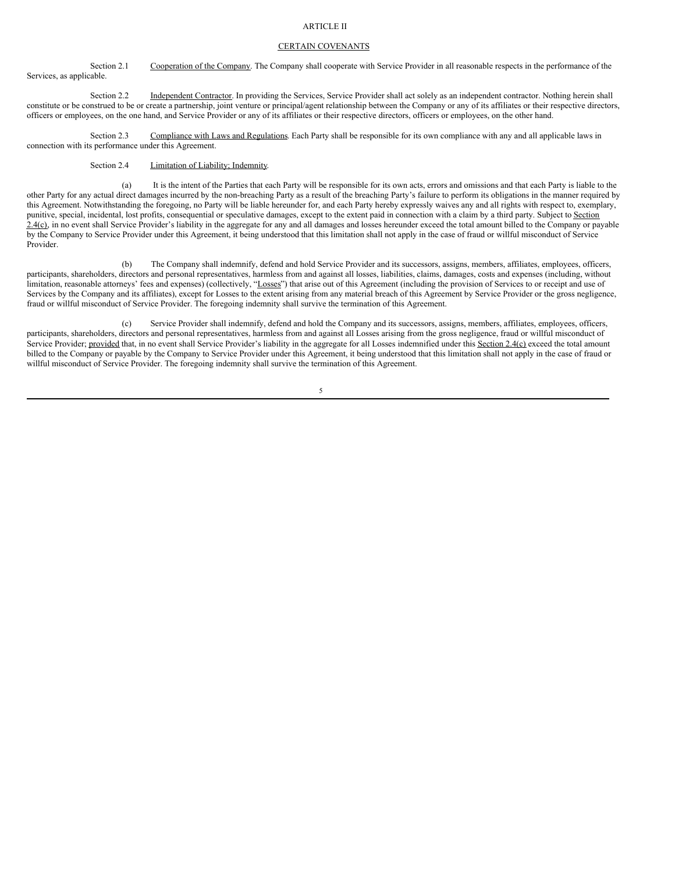#### ARTICLE II

#### CERTAIN COVENANTS

Section 2.1 Cooperation of the Company. The Company shall cooperate with Service Provider in all reasonable respects in the performance of the Services, as applicable.

Section 2.2 Independent Contractor. In providing the Services, Service Provider shall act solely as an independent contractor. Nothing herein shall constitute or be construed to be or create a partnership, joint venture or principal/agent relationship between the Company or any of its affiliates or their respective directors, officers or employees, on the one hand, and Service Provider or any of its affiliates or their respective directors, officers or employees, on the other hand.

Section 2.3 Compliance with Laws and Regulations. Each Party shall be responsible for its own compliance with any and all applicable laws in connection with its performance under this Agreement.

Section 2.4 **Limitation of Liability**; Indemnity.

(a) It is the intent of the Parties that each Party will be responsible for its own acts, errors and omissions and that each Party is liable to the other Party for any actual direct damages incurred by the non-breaching Party as a result of the breaching Party's failure to perform its obligations in the manner required by this Agreement. Notwithstanding the foregoing, no Party will be liable hereunder for, and each Party hereby expressly waives any and all rights with respect to, exemplary, punitive, special, incidental, lost profits, consequential or speculative damages, except to the extent paid in connection with a claim by a third party. Subject to Section 2.4(c), in no event shall Service Provider's liability in the aggregate for any and all damages and losses hereunder exceed the total amount billed to the Company or payable by the Company to Service Provider under this Agreement, it being understood that this limitation shall not apply in the case of fraud or willful misconduct of Service Provider.

(b) The Company shall indemnify, defend and hold Service Provider and its successors, assigns, members, affiliates, employees, officers, participants, shareholders, directors and personal representatives, harmless from and against all losses, liabilities, claims, damages, costs and expenses (including, without limitation, reasonable attorneys' fees and expenses) (collectively, "Losses") that arise out of this Agreement (including the provision of Services to or receipt and use of Services by the Company and its affiliates), except for Losses to the extent arising from any material breach of this Agreement by Service Provider or the gross negligence, fraud or willful misconduct of Service Provider. The foregoing indemnity shall survive the termination of this Agreement.

(c) Service Provider shall indemnify, defend and hold the Company and its successors, assigns, members, affiliates, employees, officers, participants, shareholders, directors and personal representatives, harmless from and against all Losses arising from the gross negligence, fraud or willful misconduct of Service Provider; provided that, in no event shall Service Provider's liability in the aggregate for all Losses indemnified under this Section 2.4(c) exceed the total amount billed to the Company or payable by the Company to Service Provider under this Agreement, it being understood that this limitation shall not apply in the case of fraud or willful misconduct of Service Provider. The foregoing indemnity shall survive the termination of this Agreement.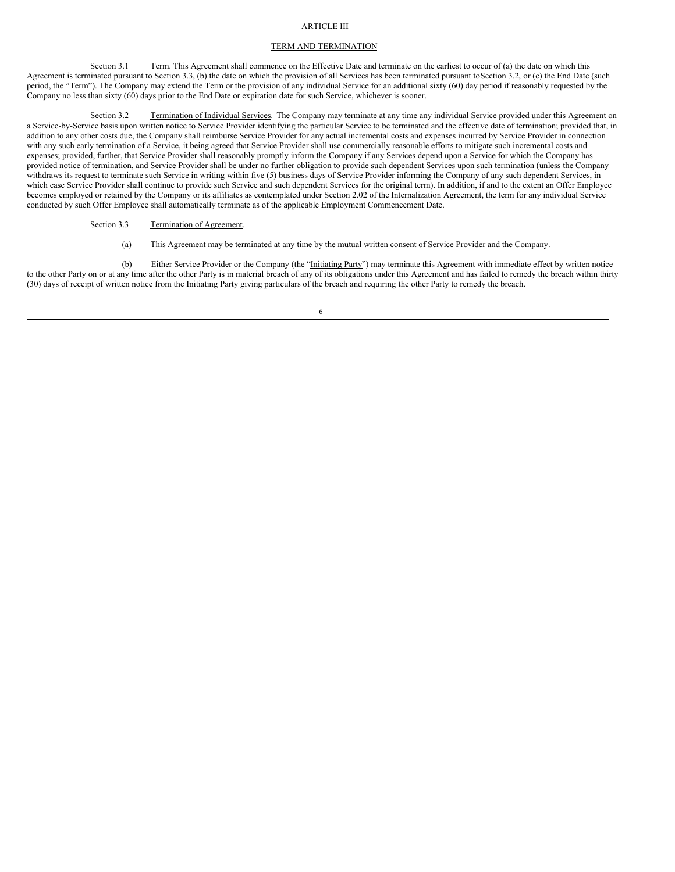#### <span id="page-28-0"></span>ARTICLE III

#### TERM AND TERMINATION

Section 3.1 Term. This Agreement shall commence on the Effective Date and terminate on the earliest to occur of (a) the date on which this Agreement is terminated pursuant to Section 3.3, (b) the date on which the provision of all Services has been terminated pursuant to Section 3.2, or (c) the End Date (such period, the "Term"). The Company may extend the Term or the provision of any individual Service for an additional sixty (60) day period if reasonably requested by the Company no less than sixty (60) days prior to the End Date or expiration date for such Service, whichever is sooner.

Section 3.2 Termination of Individual Services. The Company may terminate at any time any individual Service provided under this Agreement on a Service-by-Service basis upon written notice to Service Provider identifying the particular Service to be terminated and the effective date of termination; provided that, in addition to any other costs due, the Company shall reimburse Service Provider for any actual incremental costs and expenses incurred by Service Provider in connection with any such early termination of a Service, it being agreed that Service Provider shall use commercially reasonable efforts to mitigate such incremental costs and expenses; provided, further, that Service Provider shall reasonably promptly inform the Company if any Services depend upon a Service for which the Company has provided notice of termination, and Service Provider shall be under no further obligation to provide such dependent Services upon such termination (unless the Company withdraws its request to terminate such Service in writing within five (5) business days of Service Provider informing the Company of any such dependent Services, in which case Service Provider shall continue to provide such Service and such dependent Services for the original term). In addition, if and to the extent an Offer Employee becomes employed or retained by the Company or its affiliates as contemplated under Section 2.02 of the Internalization Agreement, the term for any individual Service conducted by such Offer Employee shall automatically terminate as of the applicable Employment Commencement Date.

#### Section 3.3 Termination of Agreement.

(a) This Agreement may be terminated at any time by the mutual written consent of Service Provider and the Company.

(b) Either Service Provider or the Company (the "Initiating Party") may terminate this Agreement with immediate effect by written notice to the other Party on or at any time after the other Party is in material breach of any of its obligations under this Agreement and has failed to remedy the breach within thirty (30) days of receipt of written notice from the Initiating Party giving particulars of the breach and requiring the other Party to remedy the breach.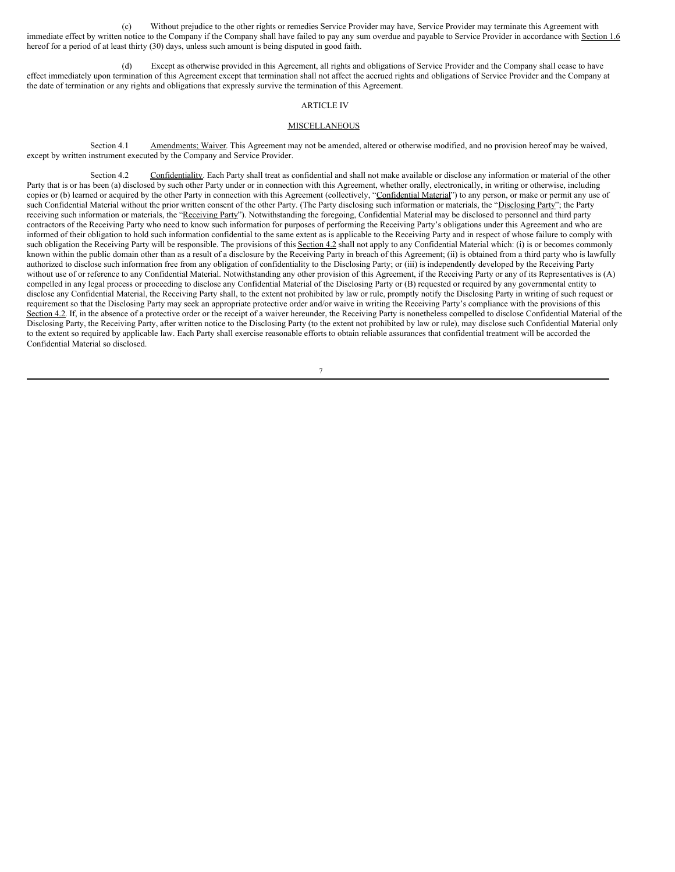(c) Without prejudice to the other rights or remedies Service Provider may have, Service Provider may terminate this Agreement with immediate effect by written notice to the Company if the Company shall have failed to pay any sum overdue and payable to Service Provider in accordance with Section 1.6 hereof for a period of at least thirty (30) days, unless such amount is being disputed in good faith.

(d) Except as otherwise provided in this Agreement, all rights and obligations of Service Provider and the Company shall cease to have effect immediately upon termination of this Agreement except that termination shall not affect the accrued rights and obligations of Service Provider and the Company at the date of termination or any rights and obligations that expressly survive the termination of this Agreement.

#### ARTICLE IV

#### **MISCELLANEOUS**

Section 4.1 Amendments; Waiver. This Agreement may not be amended, altered or otherwise modified, and no provision hereof may be waived, except by written instrument executed by the Company and Service Provider.

Section 4.2 Confidentiality. Each Party shall treat as confidential and shall not make available or disclose any information or material of the other Party that is or has been (a) disclosed by such other Party under or in connection with this Agreement, whether orally, electronically, in writing or otherwise, including copies or (b) learned or acquired by the other Party in connection with this Agreement (collectively, "Confidential Material") to any person, or make or permit any use of such Confidential Material without the prior written consent of the other Party. (The Party disclosing such information or materials, the "Disclosing Party"; the Party receiving such information or materials, the "Receiving Party"). Notwithstanding the foregoing, Confidential Material may be disclosed to personnel and third party contractors of the Receiving Party who need to know such information for purposes of performing the Receiving Party's obligations under this Agreement and who are informed of their obligation to hold such information confidential to the same extent as is applicable to the Receiving Party and in respect of whose failure to comply with such obligation the Receiving Party will be responsible. The provisions of this Section 4.2 shall not apply to any Confidential Material which: (i) is or becomes commonly known within the public domain other than as a result of a disclosure by the Receiving Party in breach of this Agreement; (ii) is obtained from a third party who is lawfully authorized to disclose such information free from any obligation of confidentiality to the Disclosing Party; or (iii) is independently developed by the Receiving Party without use of or reference to any Confidential Material. Notwithstanding any other provision of this Agreement, if the Receiving Party or any of its Representatives is (A) compelled in any legal process or proceeding to disclose any Confidential Material of the Disclosing Party or (B) requested or required by any governmental entity to disclose any Confidential Material, the Receiving Party shall, to the extent not prohibited by law or rule, promptly notify the Disclosing Party in writing of such request or requirement so that the Disclosing Party may seek an appropriate protective order and/or waive in writing the Receiving Party's compliance with the provisions of this Section 4.2. If, in the absence of a protective order or the receipt of a waiver hereunder, the Receiving Party is nonetheless compelled to disclose Confidential Material of the Disclosing Party, the Receiving Party, after written notice to the Disclosing Party (to the extent not prohibited by law or rule), may disclose such Confidential Material only to the extent so required by applicable law. Each Party shall exercise reasonable efforts to obtain reliable assurances that confidential treatment will be accorded the Confidential Material so disclosed.

<sup>7</sup>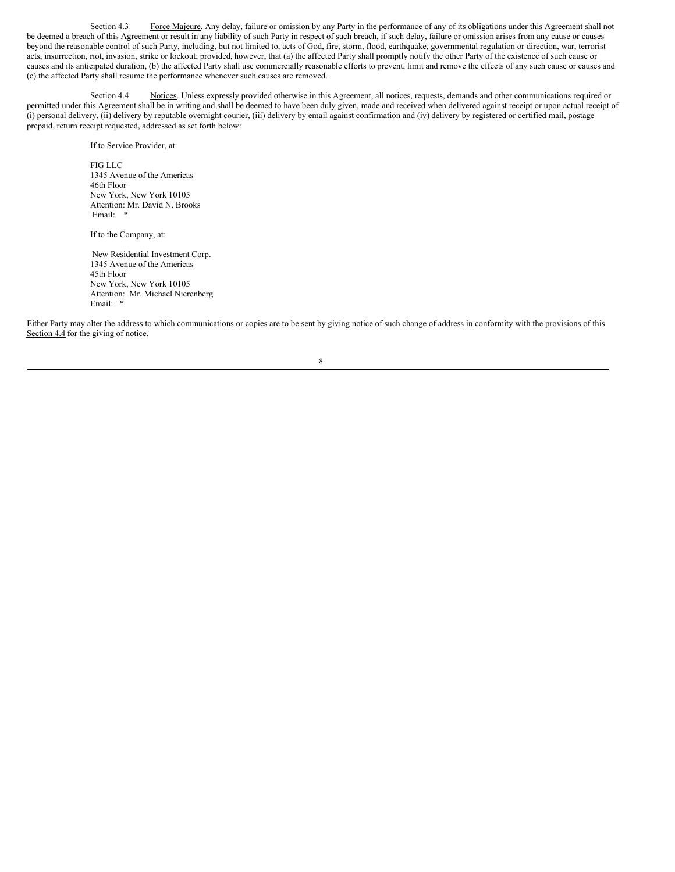Section 4.3 Force Majeure. Any delay, failure or omission by any Party in the performance of any of its obligations under this Agreement shall not be deemed a breach of this Agreement or result in any liability of such Party in respect of such breach, if such delay, failure or omission arises from any cause or causes beyond the reasonable control of such Party, including, but not limited to, acts of God, fire, storm, flood, earthquake, governmental regulation or direction, war, terrorist acts, insurrection, riot, invasion, strike or lockout; provided, however, that (a) the affected Party shall promptly notify the other Party of the existence of such cause or causes and its anticipated duration, (b) the affected Party shall use commercially reasonable efforts to prevent, limit and remove the effects of any such cause or causes and (c) the affected Party shall resume the performance whenever such causes are removed.

Section 4.4 Notices. Unless expressly provided otherwise in this Agreement, all notices, requests, demands and other communications required or permitted under this Agreement shall be in writing and shall be deemed to have been duly given, made and received when delivered against receipt or upon actual receipt of (i) personal delivery, (ii) delivery by reputable overnight courier, (iii) delivery by email against confirmation and (iv) delivery by registered or certified mail, postage prepaid, return receipt requested, addressed as set forth below:

If to Service Provider, at:

FIG LLC 1345 Avenue of the Americas 46th Floor New York, New York 10105 Attention: Mr. David N. Brooks Email: \*

If to the Company, at:

New Residential Investment Corp. 1345 Avenue of the Americas 45th Floor New York, New York 10105 Attention: Mr. Michael Nierenberg Email: \*

Either Party may alter the address to which communications or copies are to be sent by giving notice of such change of address in conformity with the provisions of this Section 4.4 for the giving of notice.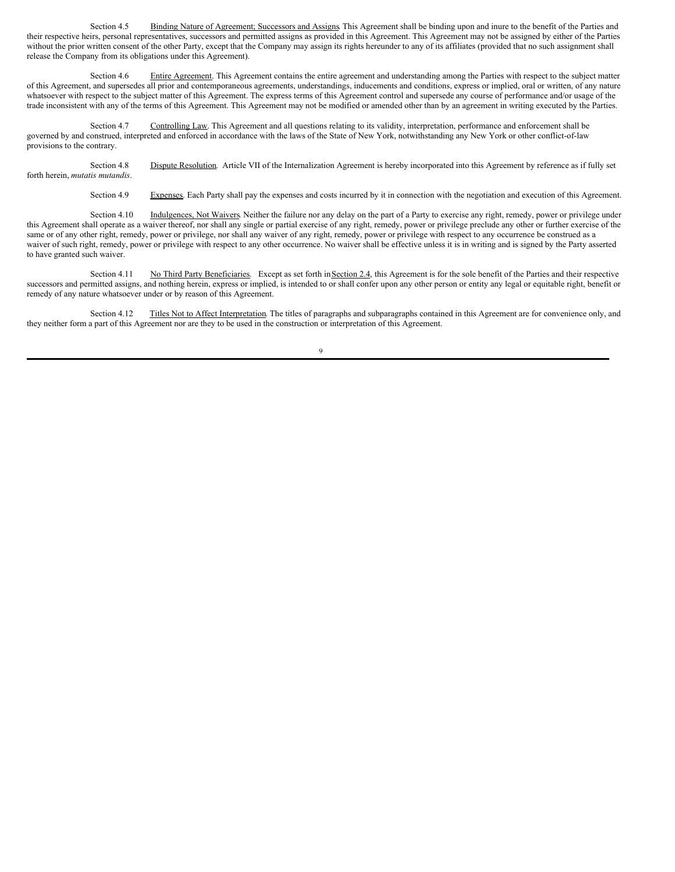Section 4.5 Binding Nature of Agreement; Successors and Assigns. This Agreement shall be binding upon and inure to the benefit of the Parties and their respective heirs, personal representatives, successors and permitted assigns as provided in this Agreement. This Agreement may not be assigned by either of the Parties without the prior written consent of the other Party, except that the Company may assign its rights hereunder to any of its affiliates (provided that no such assignment shall release the Company from its obligations under this Agreement).

Section 4.6 Entire Agreement. This Agreement contains the entire agreement and understanding among the Parties with respect to the subject matter of this Agreement, and supersedes all prior and contemporaneous agreements, understandings, inducements and conditions, express or implied, oral or written, of any nature whatsoever with respect to the subject matter of this Agreement. The express terms of this Agreement control and supersede any course of performance and/or usage of the trade inconsistent with any of the terms of this Agreement. This Agreement may not be modified or amended other than by an agreement in writing executed by the Parties.

Section 4.7 Controlling Law. This Agreement and all questions relating to its validity, interpretation, performance and enforcement shall be governed by and construed, interpreted and enforced in accordance with the laws of the State of New York, notwithstanding any New York or other conflict-of-law provisions to the contrary.

Section 4.8 Dispute Resolution. Article VII of the Internalization Agreement is hereby incorporated into this Agreement by reference as if fully set forth herein, *mutatis mutandis*.

Section 4.9 Expenses. Each Party shall pay the expenses and costs incurred by it in connection with the negotiation and execution of this Agreement.

Section 4.10 Indulgences, Not Waivers. Neither the failure nor any delay on the part of a Party to exercise any right, remedy, power or privilege under this Agreement shall operate as a waiver thereof, nor shall any single or partial exercise of any right, remedy, power or privilege preclude any other or further exercise of the same or of any other right, remedy, power or privilege, nor shall any waiver of any right, remedy, power or privilege with respect to any occurrence be construed as a waiver of such right, remedy, power or privilege with respect to any other occurrence. No waiver shall be effective unless it is in writing and is signed by the Party asserted to have granted such waiver.

Section 4.11 No Third Party Beneficiaries. Except as set forth in Section 2.4, this Agreement is for the sole benefit of the Parties and their respective successors and permitted assigns, and nothing herein, express or implied, is intended to or shall confer upon any other person or entity any legal or equitable right, benefit or remedy of any nature whatsoever under or by reason of this Agreement.

Section 4.12 Titles Not to Affect Interpretation. The titles of paragraphs and subparagraphs contained in this Agreement are for convenience only, and they neither form a part of this Agreement nor are they to be used in the construction or interpretation of this Agreement.

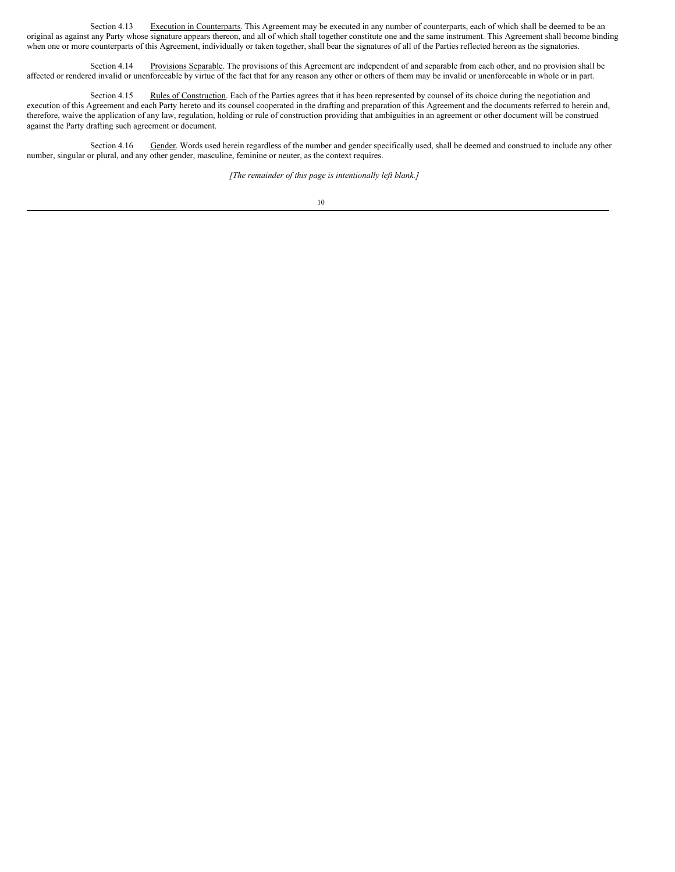Section 4.13 Execution in Counterparts. This Agreement may be executed in any number of counterparts, each of which shall be deemed to be an original as against any Party whose signature appears thereon, and all of which shall together constitute one and the same instrument. This Agreement shall become binding when one or more counterparts of this Agreement, individually or taken together, shall bear the signatures of all of the Parties reflected hereon as the signatories.

Section 4.14 Provisions Separable. The provisions of this Agreement are independent of and separable from each other, and no provision shall be affected or rendered invalid or unenforceable by virtue of the fact that for any reason any other or others of them may be invalid or unenforceable in whole or in part.

Section 4.15 Rules of Construction. Each of the Parties agrees that it has been represented by counsel of its choice during the negotiation and execution of this Agreement and each Party hereto and its counsel cooperated in the drafting and preparation of this Agreement and the documents referred to herein and, therefore, waive the application of any law, regulation, holding or rule of construction providing that ambiguities in an agreement or other document will be construed against the Party drafting such agreement or document.

Section 4.16 Gender. Words used herein regardless of the number and gender specifically used, shall be deemed and construed to include any other number, singular or plural, and any other gender, masculine, feminine or neuter, as the context requires.

*[The remainder of this page is intentionally left blank.]*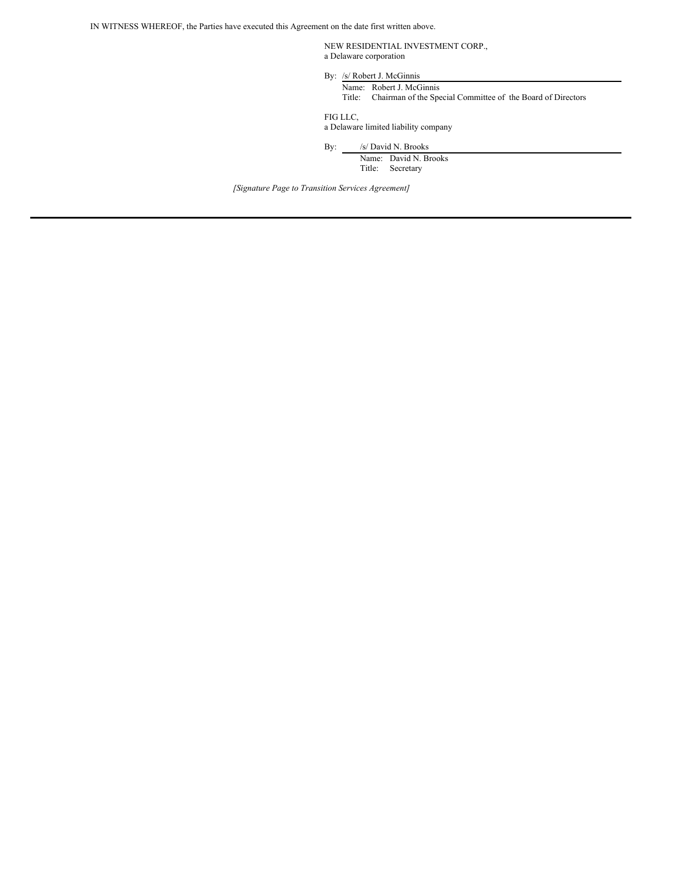IN WITNESS WHEREOF, the Parties have executed this Agreement on the date first written above.

NEW RESIDENTIAL INVESTMENT CORP., a Delaware corporation

By: /s/ Robert J. McGinnis

Name: Robert J. McGinnis Title: Chairman of the Special Committee of the Board of Directors

FIG LLC,

a Delaware limited liability company

By: /s/ David N. Brooks

Name: David N. Brooks Title: Secretary

*[Signature Page to Transition Services Agreement]*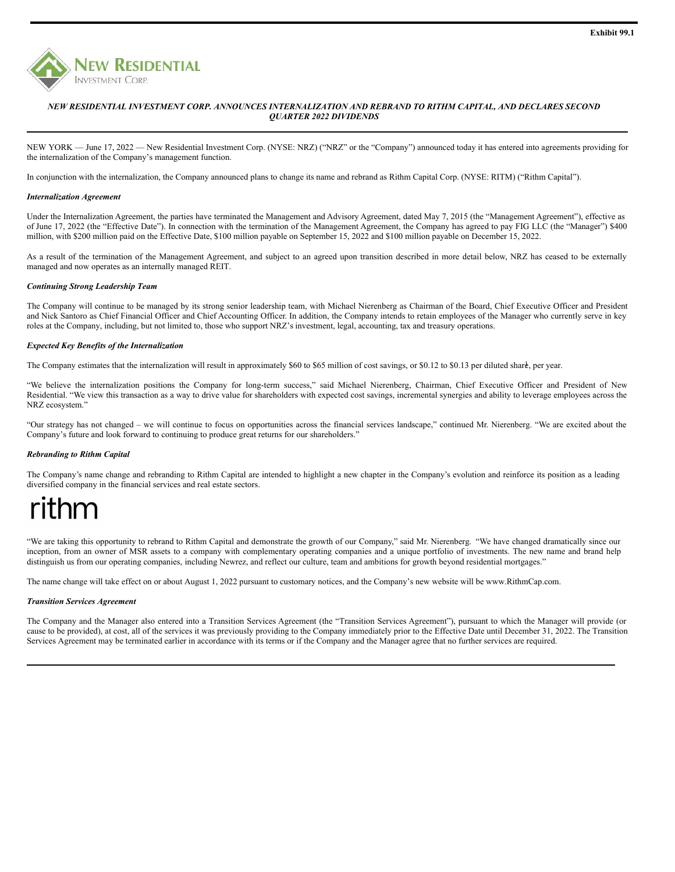

#### *NEW RESIDENTIAL INVESTMENT CORP. ANNOUNCES INTERNALIZATION AND REBRAND TO RITHM CAPITAL, AND DECLARES SECOND QUARTER 2022 DIVIDENDS*

NEW YORK — June 17, 2022 — New Residential Investment Corp. (NYSE: NRZ) ("NRZ" or the "Company") announced today it has entered into agreements providing for the internalization of the Company's management function.

In conjunction with the internalization, the Company announced plans to change its name and rebrand as Rithm Capital Corp. (NYSE: RITM) ("Rithm Capital").

#### *Internalization Agreement*

Under the Internalization Agreement, the parties have terminated the Management and Advisory Agreement, dated May 7, 2015 (the "Management Agreement"), effective as of June 17, 2022 (the "Effective Date"). In connection with the termination of the Management Agreement, the Company has agreed to pay FIG LLC (the "Manager") \$400 million, with \$200 million paid on the Effective Date, \$100 million payable on September 15, 2022 and \$100 million payable on December 15, 2022.

As a result of the termination of the Management Agreement, and subject to an agreed upon transition described in more detail below, NRZ has ceased to be externally managed and now operates as an internally managed REIT.

#### *Continuing Strong Leadership Team*

The Company will continue to be managed by its strong senior leadership team, with Michael Nierenberg as Chairman of the Board, Chief Executive Officer and President and Nick Santoro as Chief Financial Officer and Chief Accounting Officer. In addition, the Company intends to retain employees of the Manager who currently serve in key roles at the Company, including, but not limited to, those who support NRZ's investment, legal, accounting, tax and treasury operations.

#### *Expected Key Benefits of the Internalization*

The Company estimates that the internalization will result in approximately \$60 to \$65 million of cost savings, or \$0.12 to \$0.13 per diluted share, per year.

"We believe the internalization positions the Company for long-term success," said Michael Nierenberg, Chairman, Chief Executive Officer and President of New Residential. "We view this transaction as a way to drive value for shareholders with expected cost savings, incremental synergies and ability to leverage employees across the NRZ ecosystem."

"Our strategy has not changed – we will continue to focus on opportunities across the financial services landscape," continued Mr. Nierenberg. "We are excited about the Company's future and look forward to continuing to produce great returns for our shareholders."

#### *Rebranding to Rithm Capital*

The Company's name change and rebranding to Rithm Capital are intended to highlight a new chapter in the Company's evolution and reinforce its position as a leading diversified company in the financial services and real estate sectors.

# thm

"We are taking this opportunity to rebrand to Rithm Capital and demonstrate the growth of our Company," said Mr. Nierenberg. "We have changed dramatically since our inception, from an owner of MSR assets to a company with complementary operating companies and a unique portfolio of investments. The new name and brand help distinguish us from our operating companies, including Newrez, and reflect our culture, team and ambitions for growth beyond residential mortgages."

The name change will take effect on or about August 1, 2022 pursuant to customary notices, and the Company's new website will be www.RithmCap.com.

#### *Transition Services Agreement*

The Company and the Manager also entered into a Transition Services Agreement (the "Transition Services Agreement"), pursuant to which the Manager will provide (or cause to be provided), at cost, all of the services it was previously providing to the Company immediately prior to the Effective Date until December 31, 2022. The Transition Services Agreement may be terminated earlier in accordance with its terms or if the Company and the Manager agree that no further services are required.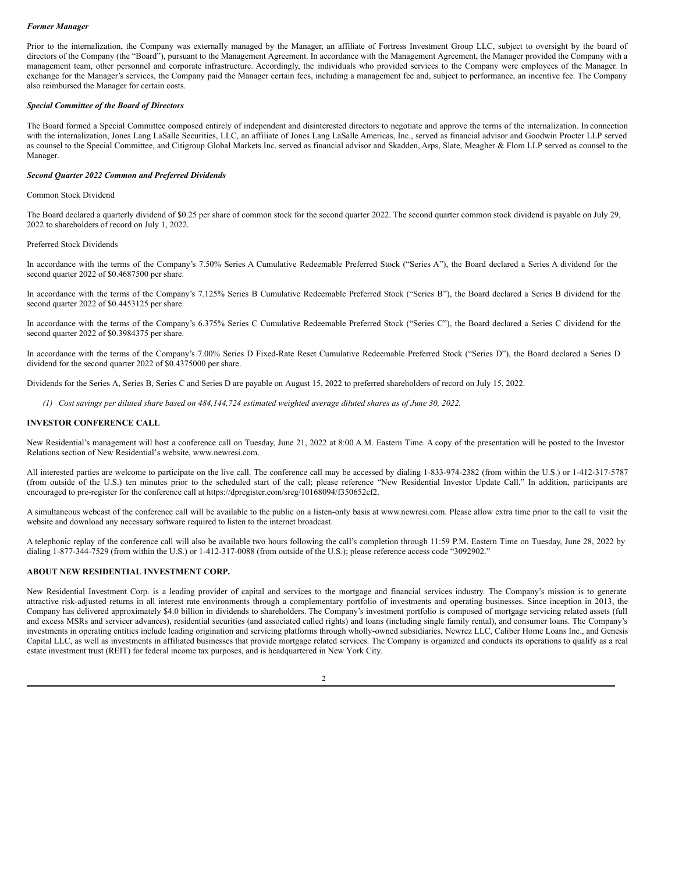#### <span id="page-35-0"></span>*Former Manager*

Prior to the internalization, the Company was externally managed by the Manager, an affiliate of Fortress Investment Group LLC, subject to oversight by the board of directors of the Company (the "Board"), pursuant to the Management Agreement. In accordance with the Management Agreement, the Manager provided the Company with a management team, other personnel and corporate infrastructure. Accordingly, the individuals who provided services to the Company were employees of the Manager. In exchange for the Manager's services, the Company paid the Manager certain fees, including a management fee and, subject to performance, an incentive fee. The Company also reimbursed the Manager for certain costs.

#### *Special Committee of the Board of Directors*

The Board formed a Special Committee composed entirely of independent and disinterested directors to negotiate and approve the terms of the internalization. In connection with the internalization, Jones Lang LaSalle Securities, LLC, an affiliate of Jones Lang LaSalle Americas, Inc., served as financial advisor and Goodwin Procter LLP served as counsel to the Special Committee, and Citigroup Global Markets Inc. served as financial advisor and Skadden, Arps, Slate, Meagher & Flom LLP served as counsel to the Manager.

#### *Second Quarter 2022 Common and Preferred Dividends*

#### Common Stock Dividend

The Board declared a quarterly dividend of \$0.25 per share of common stock for the second quarter 2022. The second quarter common stock dividend is payable on July 29, 2022 to shareholders of record on July 1, 2022.

#### Preferred Stock Dividends

In accordance with the terms of the Company's 7.50% Series A Cumulative Redeemable Preferred Stock ("Series A"), the Board declared a Series A dividend for the second quarter 2022 of \$0.4687500 per share.

In accordance with the terms of the Company's 7.125% Series B Cumulative Redeemable Preferred Stock ("Series B"), the Board declared a Series B dividend for the second quarter 2022 of \$0.4453125 per share.

In accordance with the terms of the Company's 6.375% Series C Cumulative Redeemable Preferred Stock ("Series C"), the Board declared a Series C dividend for the second quarter 2022 of \$0.3984375 per share.

In accordance with the terms of the Company's 7.00% Series D Fixed-Rate Reset Cumulative Redeemable Preferred Stock ("Series D"), the Board declared a Series D dividend for the second quarter 2022 of \$0.4375000 per share.

Dividends for the Series A, Series B, Series C and Series D are payable on August 15, 2022 to preferred shareholders of record on July 15, 2022.

(1) Cost savings per diluted share based on 484,144,724 estimated weighted average diluted shares as of June 30, 2022.

#### **INVESTOR CONFERENCE CALL**

New Residential's management will host a conference call on Tuesday, June 21, 2022 at 8:00 A.M. Eastern Time. A copy of the presentation will be posted to the Investor Relations section of New Residential's website, www.newresi.com.

All interested parties are welcome to participate on the live call. The conference call may be accessed by dialing 1-833-974-2382 (from within the U.S.) or 1-412-317-5787 (from outside of the U.S.) ten minutes prior to the scheduled start of the call; please reference "New Residential Investor Update Call." In addition, participants are encouraged to pre-register for the conference call at https://dpregister.com/sreg/10168094/f350652cf2.

A simultaneous webcast of the conference call will be available to the public on a listen-only basis at www.newresi.com. Please allow extra time prior to the call to visit the website and download any necessary software required to listen to the internet broadcast.

A telephonic replay of the conference call will also be available two hours following the call's completion through 11:59 P.M. Eastern Time on Tuesday, June 28, 2022 by dialing 1-877-344-7529 (from within the U.S.) or 1-412-317-0088 (from outside of the U.S.); please reference access code "3092902."

#### **ABOUT NEW RESIDENTIAL INVESTMENT CORP.**

New Residential Investment Corp. is a leading provider of capital and services to the mortgage and financial services industry. The Company's mission is to generate attractive risk-adjusted returns in all interest rate environments through a complementary portfolio of investments and operating businesses. Since inception in 2013, the Company has delivered approximately \$4.0 billion in dividends to shareholders. The Company's investment portfolio is composed of mortgage servicing related assets (full and excess MSRs and servicer advances), residential securities (and associated called rights) and loans (including single family rental), and consumer loans. The Company's investments in operating entities include leading origination and servicing platforms through wholly-owned subsidiaries, Newrez LLC, Caliber Home Loans Inc., and Genesis Capital LLC, as well as investments in affiliated businesses that provide mortgage related services. The Company is organized and conducts its operations to qualify as a real estate investment trust (REIT) for federal income tax purposes, and is headquartered in New York City.